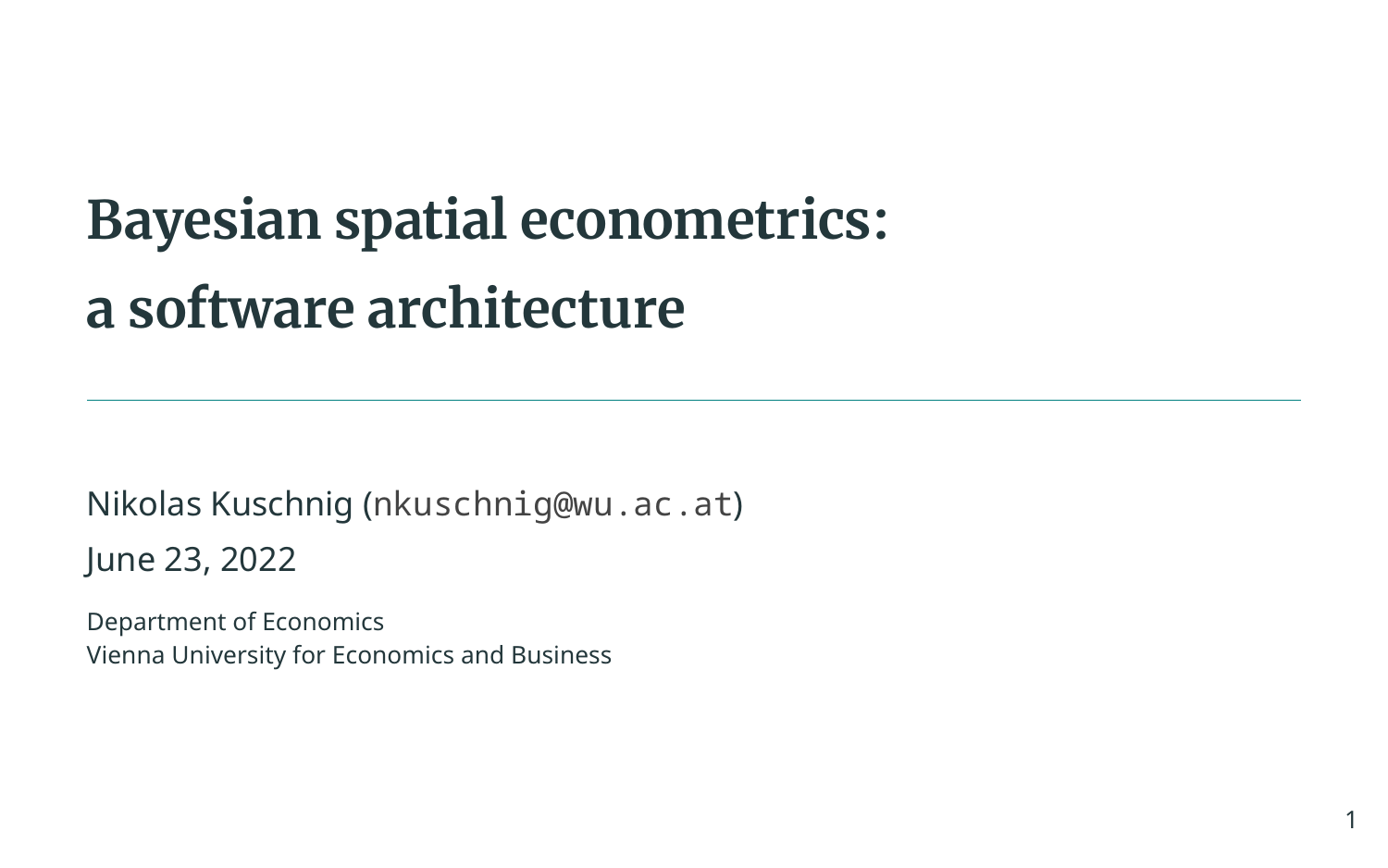# **Bayesian spatial econometrics: a software architecture**

Nikolas Kuschnig ([nkuschnig@wu.ac.at](mailto:nkuschnig@wu.ac.at)) June 23, 2022

Department of Economics Vienna University for Economics and Business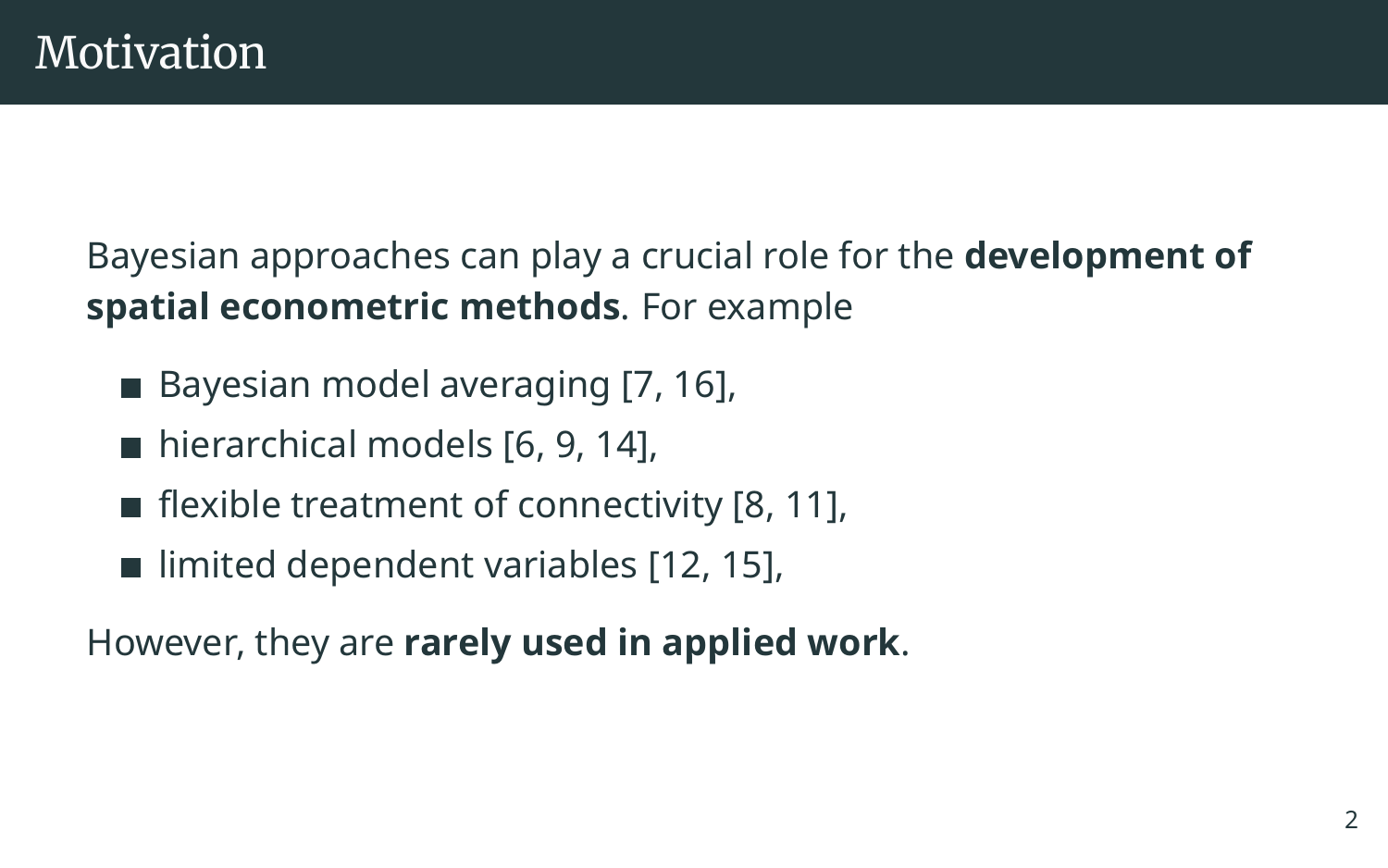Bayesian approaches can play a crucial role for the **development of spatial econometric methods**. For example

- $\blacksquare$  Bayesian model averaging [\[7,](#page-30-0) [16\]](#page-32-0),
- $\blacksquare$  hierarchical models [\[6,](#page-30-1) [9,](#page-31-0) [14\]](#page-32-1).
- **Fi** flexible treatment of connectivity  $[8, 11]$  $[8, 11]$ ,
- $\blacksquare$  limited dependent variables [\[12,](#page-31-2) [15\]](#page-32-2),

However, they are **rarely used in applied work**.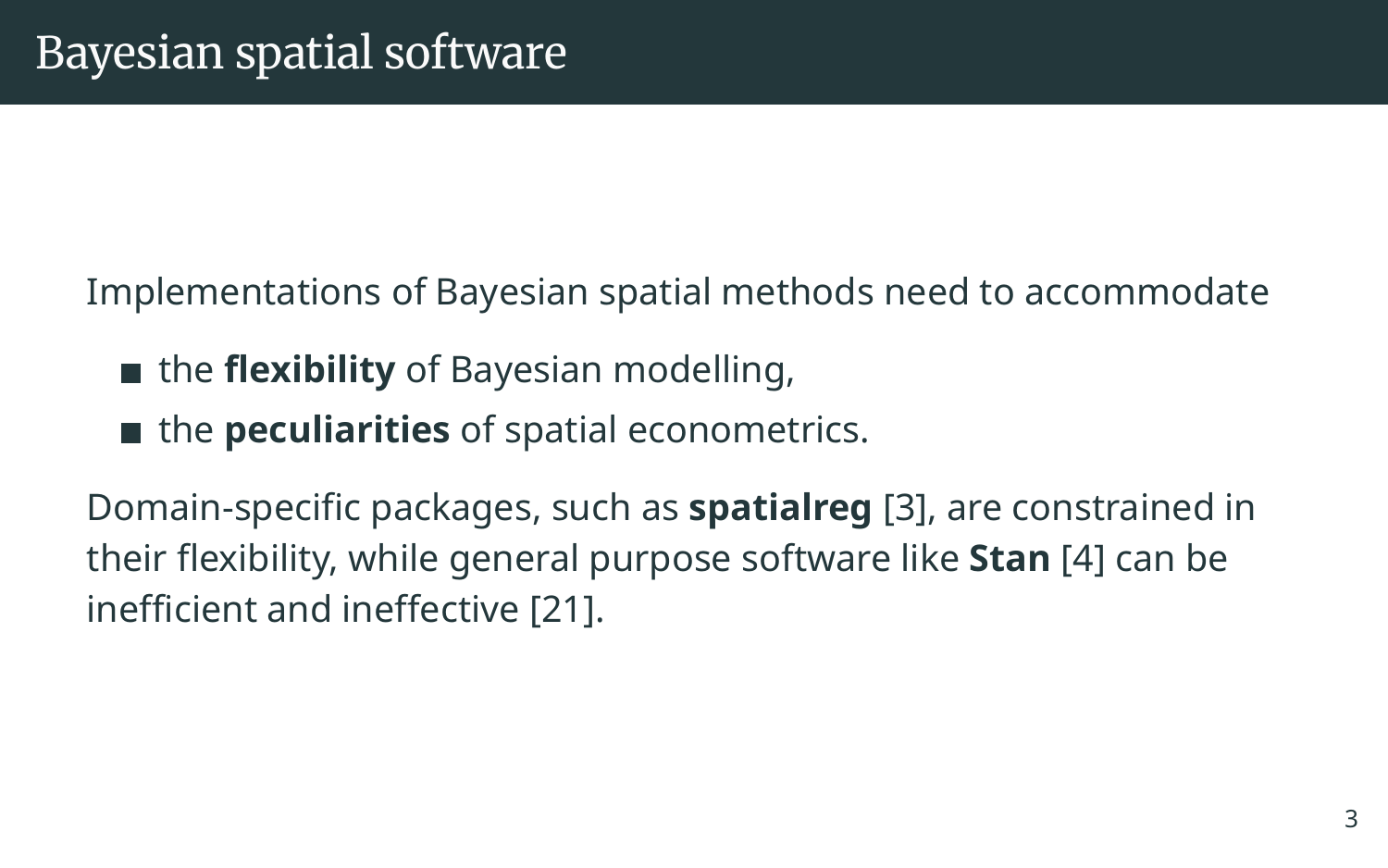Implementations of Bayesian spatial methods need to accommodate

- the **flexibility** of Bayesian modelling,
- the **peculiarities** of spatial econometrics.

Domain-specific packages, such as **spatialreg** [\[3\]](#page-29-0), are constrained in their flexibility, while general purpose software like **Stan** [\[4\]](#page-29-1) can be inefficient and ineffective [\[21\]](#page-34-0).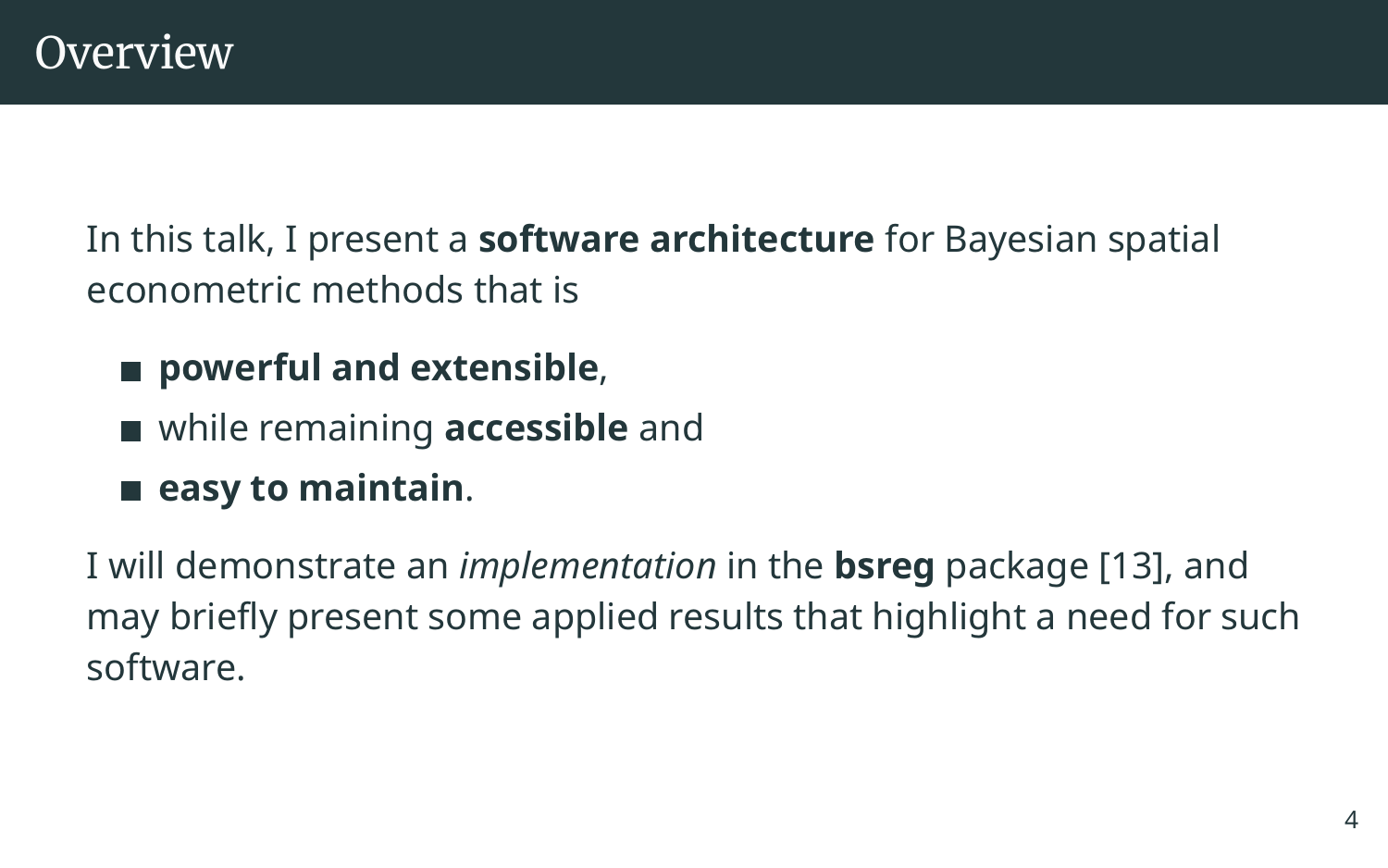In this talk, I present a **software architecture** for Bayesian spatial econometric methods that is

- powerful and extensible,
- while remaining **accessible** and
- **easy to maintain**.

I will demonstrate an *implementation* in the **bsreg** package [\[13\]](#page-32-3), and may briefly present some applied results that highlight a need for such software.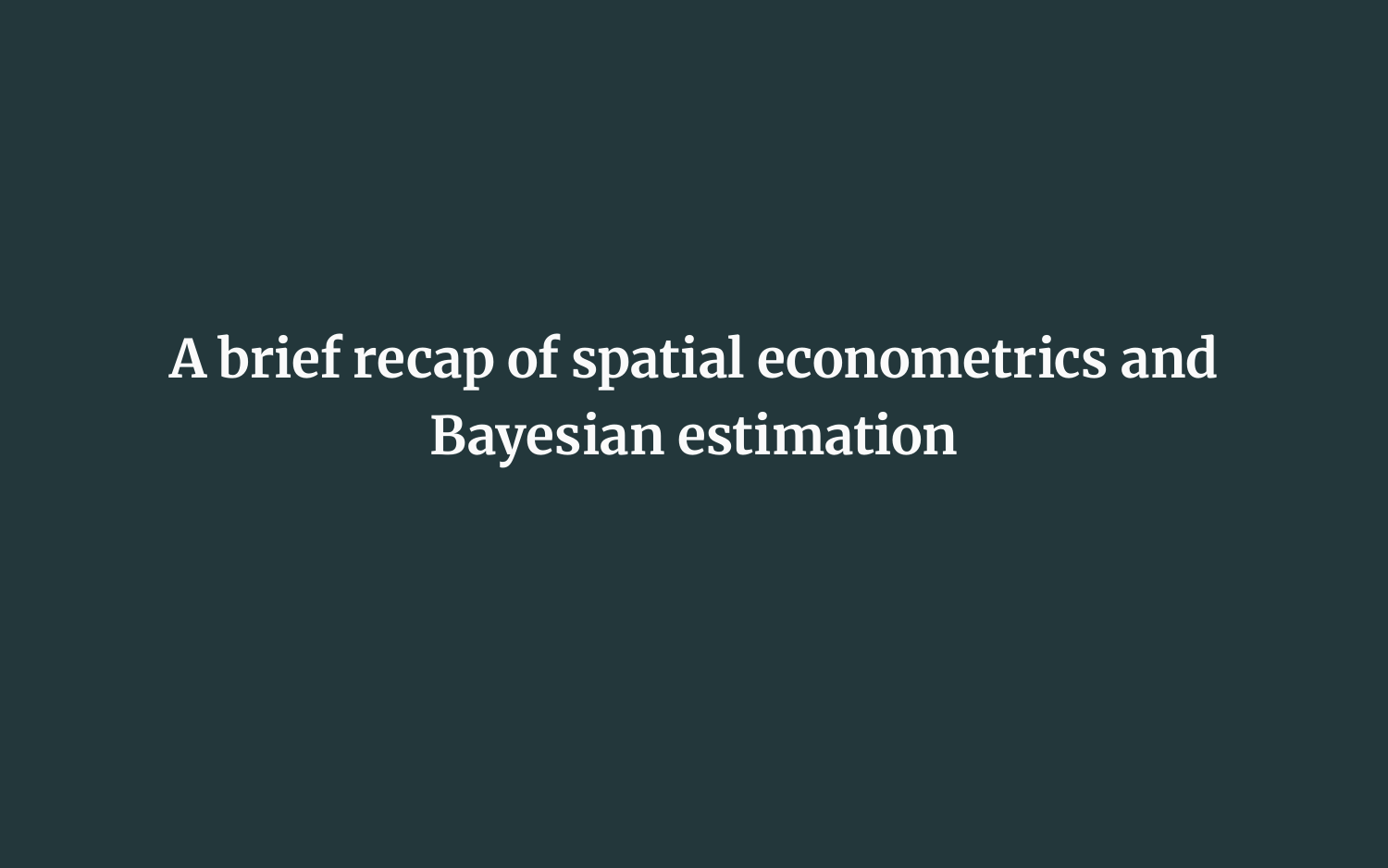**A brief recap of spatial econometrics and Bayesian estimation**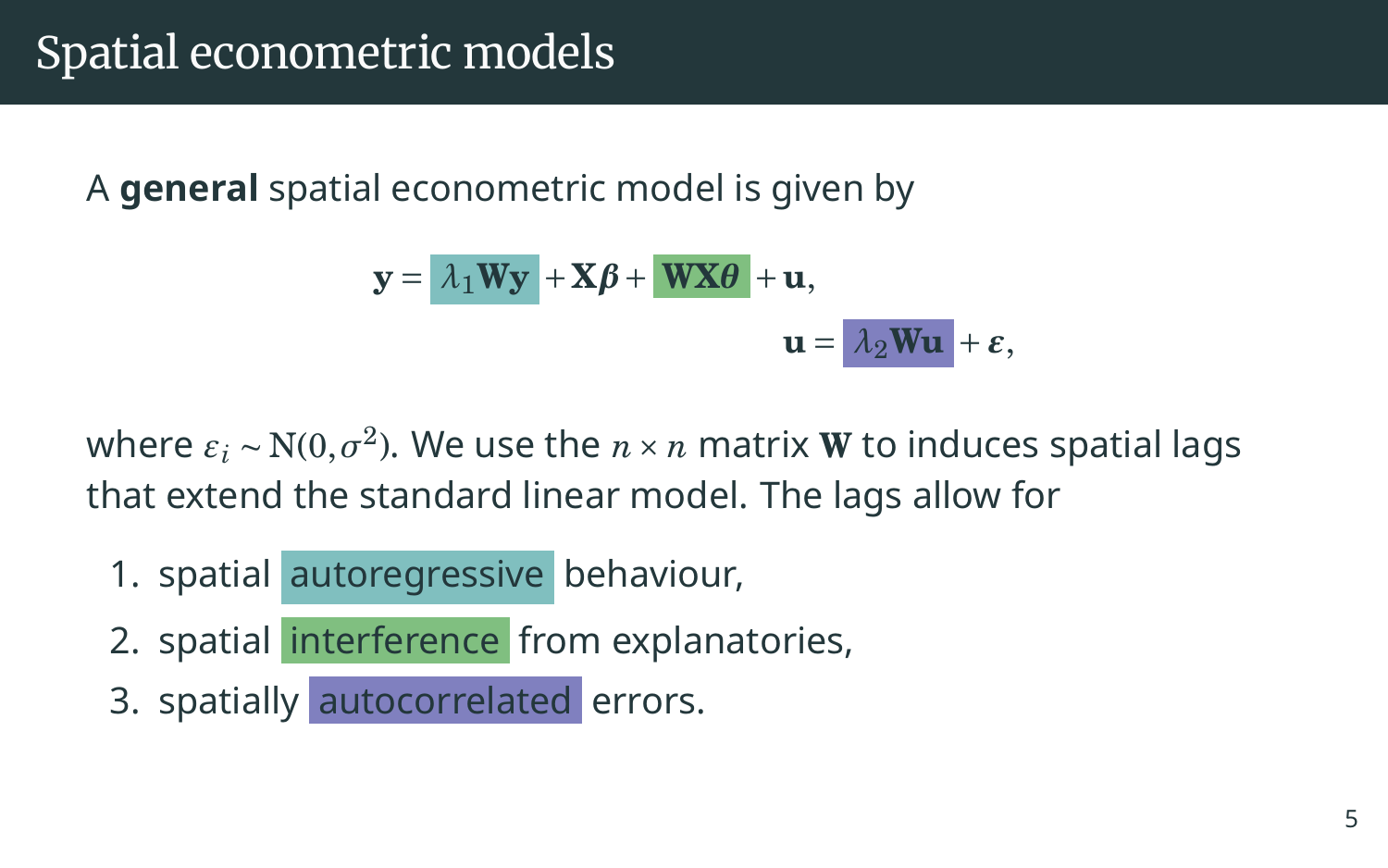A **general** spatial econometric model is given by

$$
\mathbf{y} = \begin{vmatrix} \lambda_1 \mathbf{W} \mathbf{y} + \mathbf{X} \boldsymbol{\beta} + \mathbf{W} \mathbf{X} \boldsymbol{\theta} + \mathbf{u}, \\ \mathbf{u} = \begin{vmatrix} \lambda_2 \mathbf{W} \mathbf{u} + \boldsymbol{\epsilon}, \end{vmatrix}
$$

where  $\varepsilon_i$  ~ N(0, $\sigma^2$ ). We use the  $n \times n$  matrix  $\bf{W}$  to induces spatial lags that extend the standard linear model. The lags allow for

- 1. spatial autoregressive behaviour,
- 2. spatial interference from explanatories,
- 3. spatially autocorrelated errors.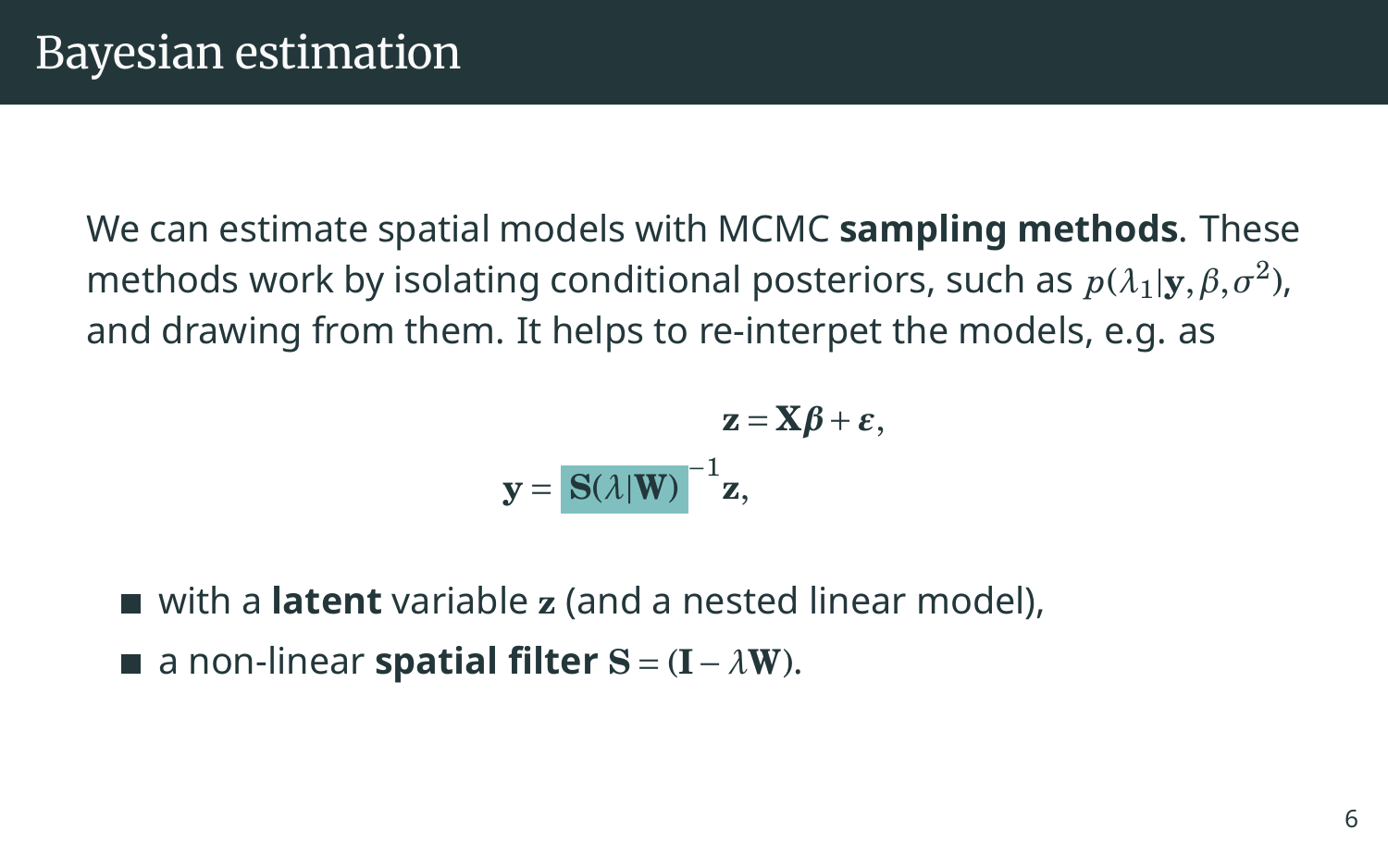We can estimate spatial models with MCMC **sampling methods**. These methods work by isolating conditional posteriors, such as  $p(\lambda_1|\mathbf{y}, \beta, \sigma^2)$ , and drawing from them. It helps to re-interpet the models, e.g. as

$$
\mathbf{z} = \mathbf{X}\boldsymbol{\beta} + \boldsymbol{\varepsilon},
$$

$$
\mathbf{y} = \mathbf{S}(\lambda|\mathbf{W})^{-1}\mathbf{z},
$$

■ with a **latent** variable **z** (and a nested linear model),

a non-linear **spatial filter S** = (**I**−*λ***W**).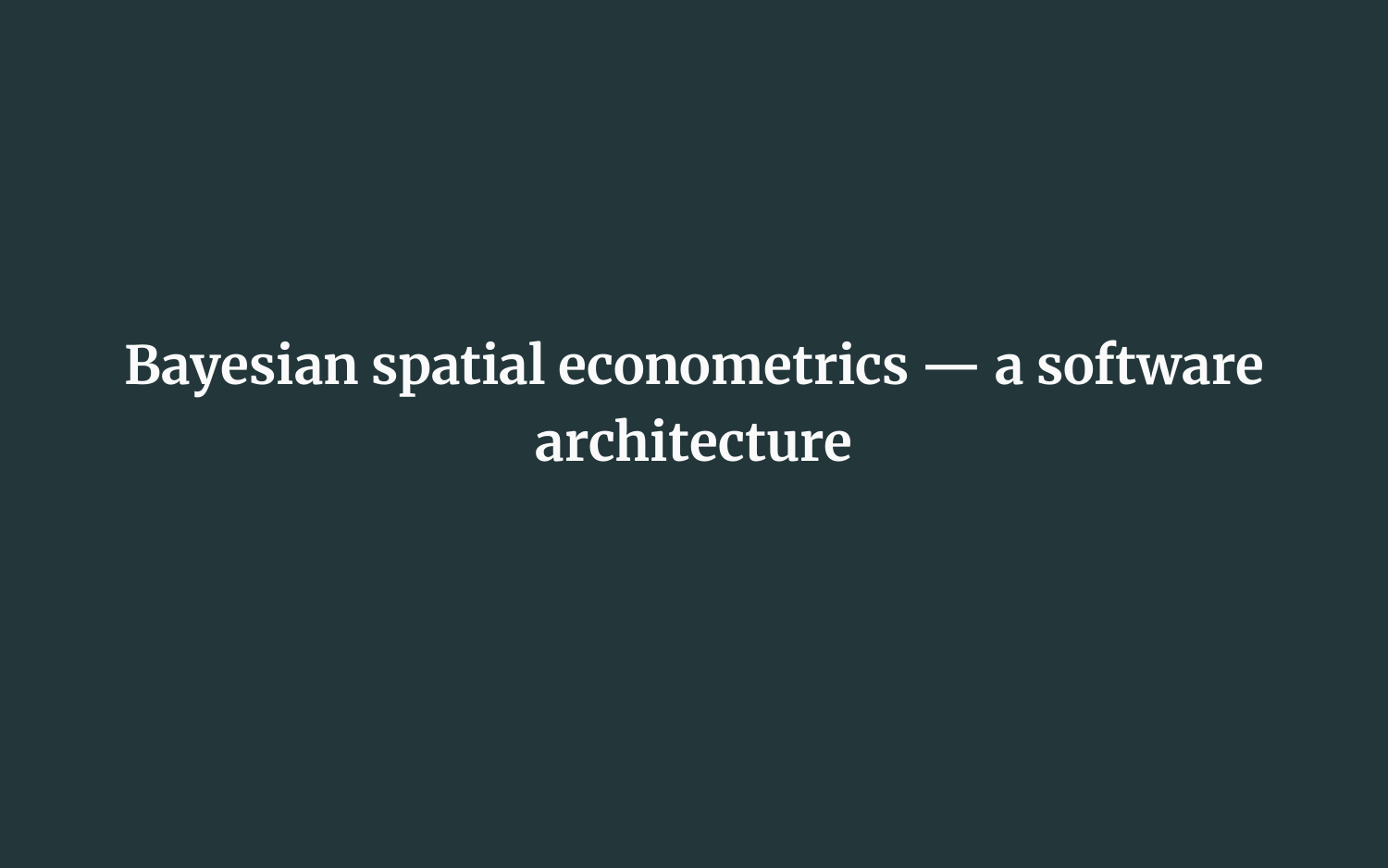## **Bayesian spatial econometrics — a software architecture**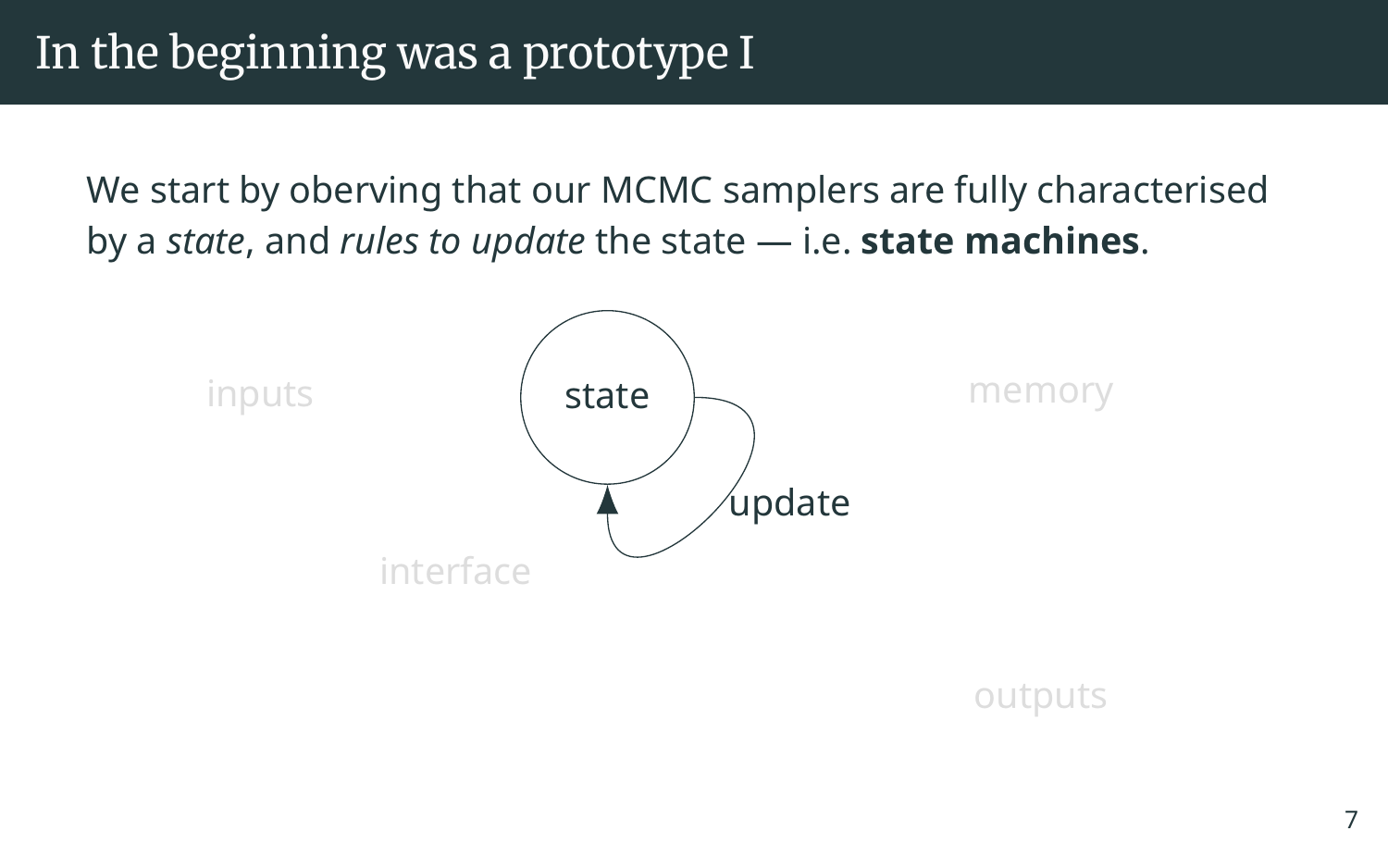We start by oberving that our MCMC samplers are fully characterised by a *state*, and *rules to update* the state — i.e. **state machines**.



outputs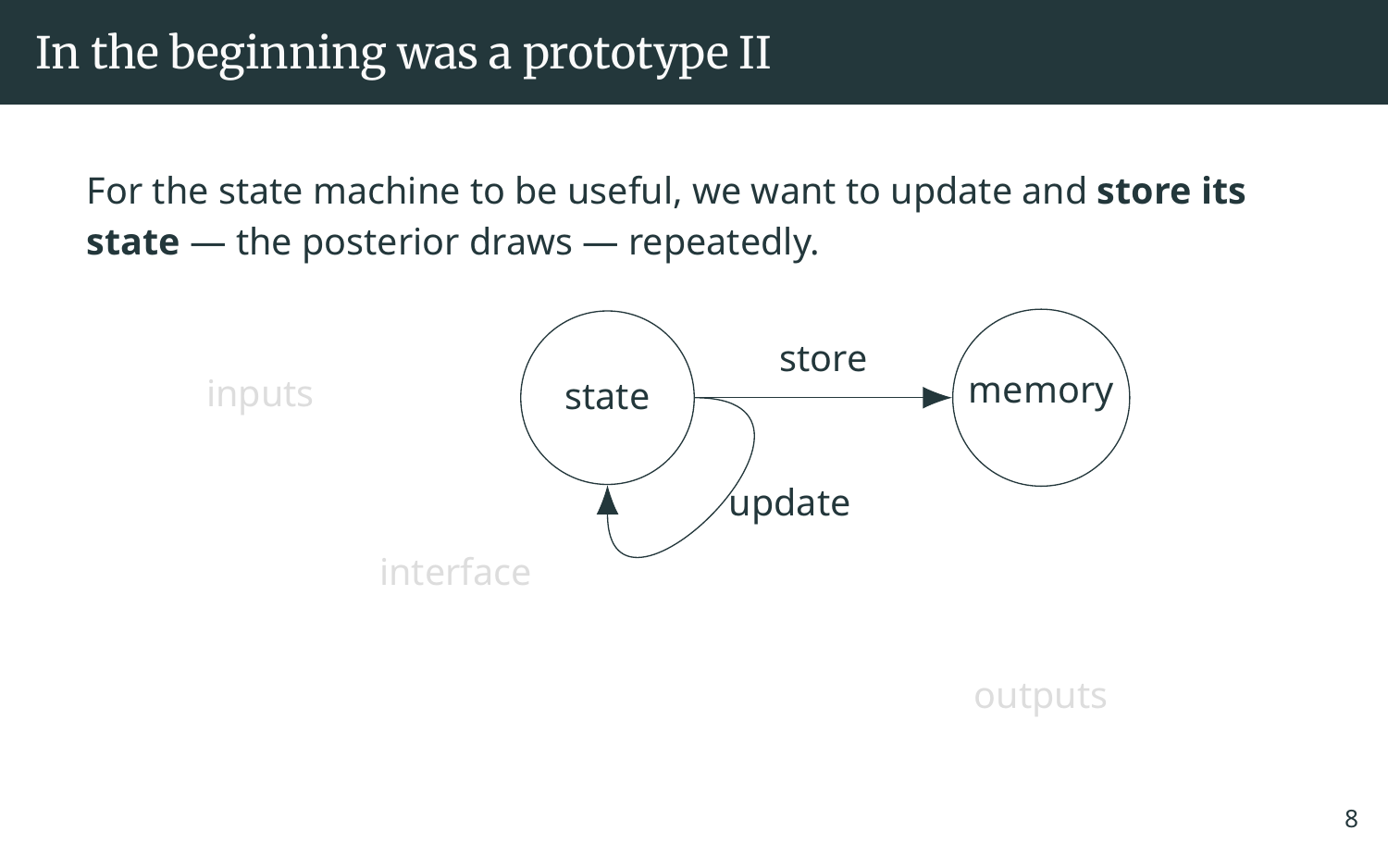For the state machine to be useful, we want to update and **store its state** — the posterior draws — repeatedly.



outputs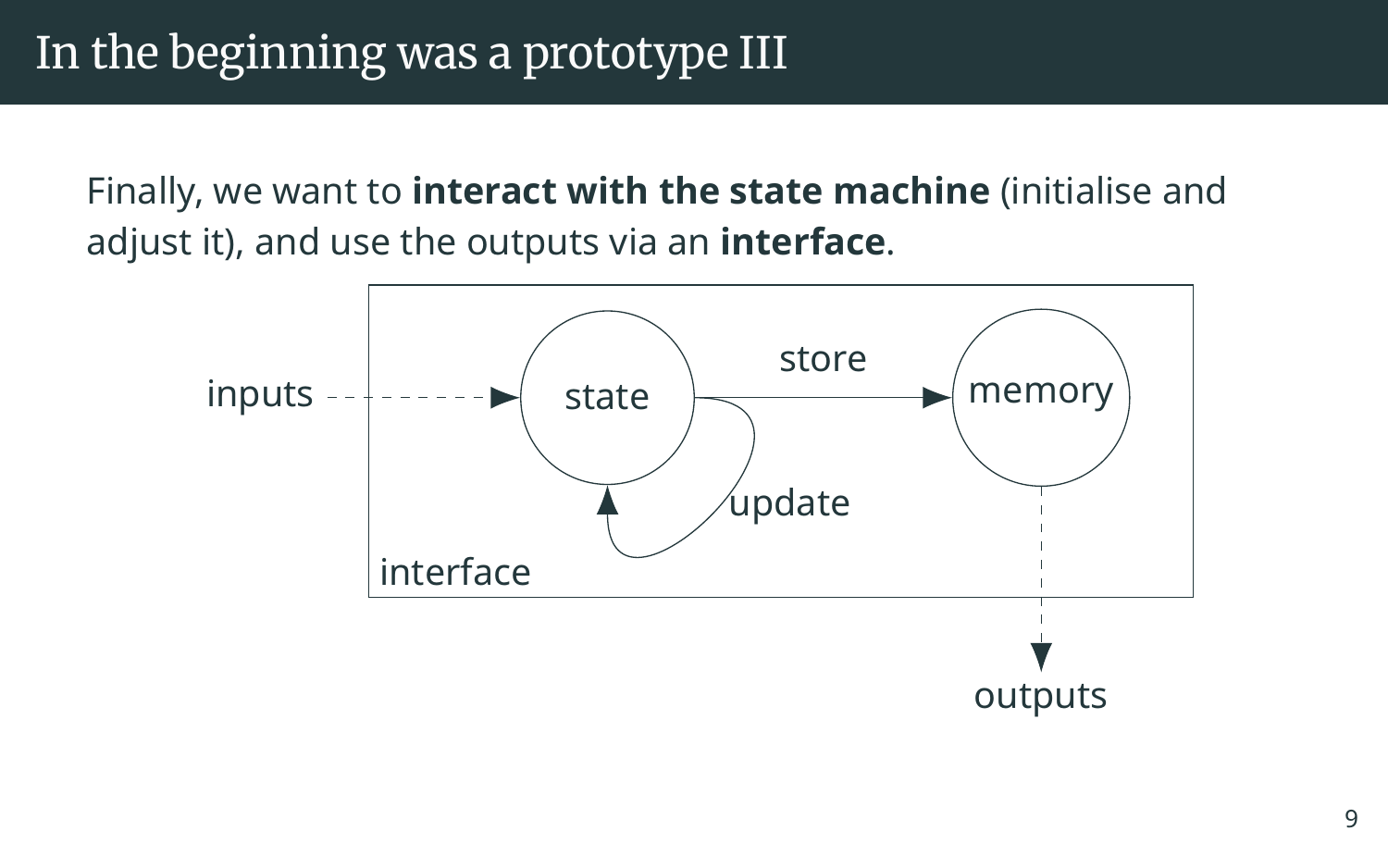Finally, we want to **interact with the state machine** (initialise and adjust it), and use the outputs via an **interface**.

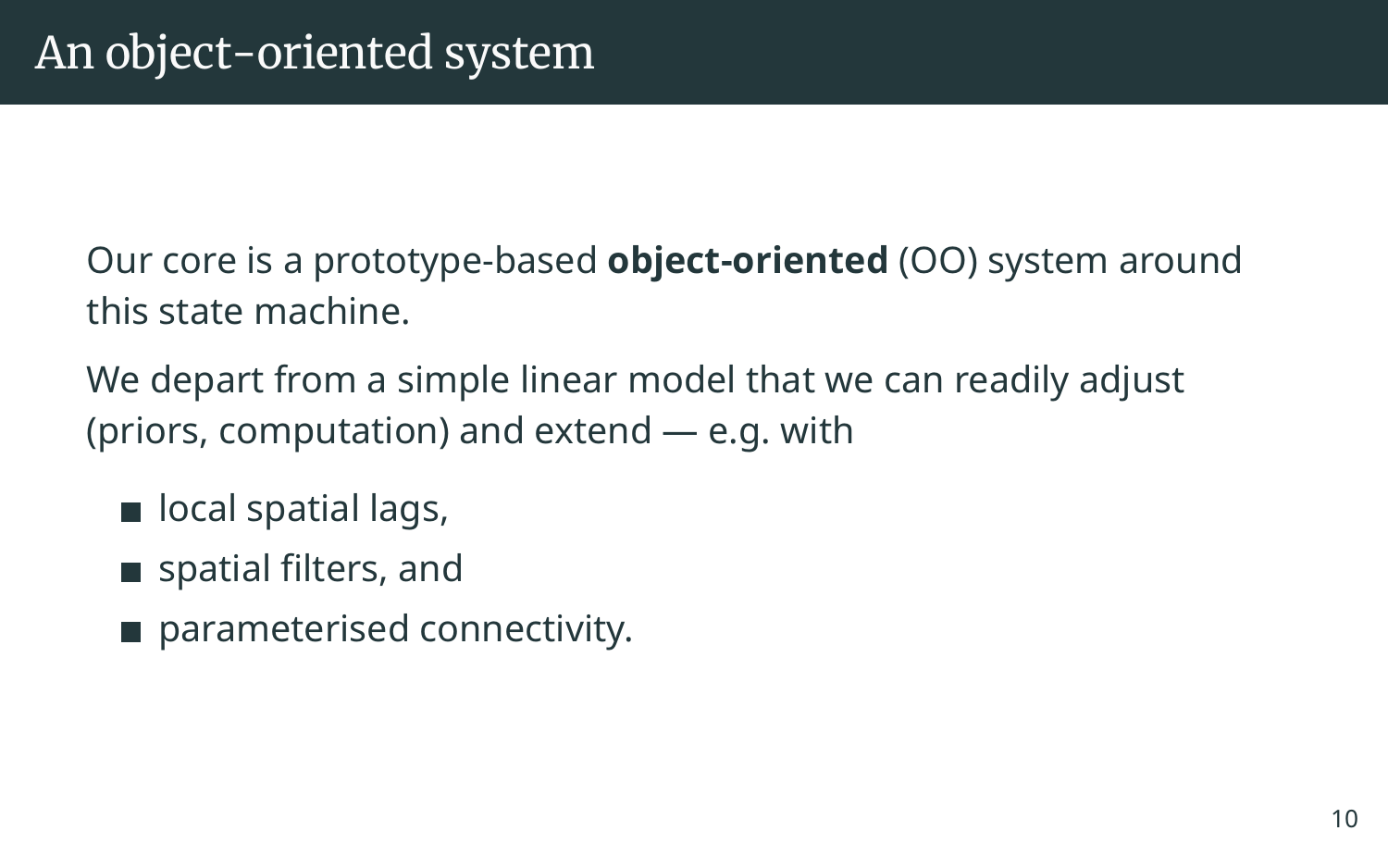Our core is a prototype-based **object-oriented** (OO) system around this state machine.

We depart from a simple linear model that we can readily adjust (priors, computation) and extend — e.g. with

- $\blacksquare$  local spatial lags,
- spatial filters, and
- parameterised connectivity.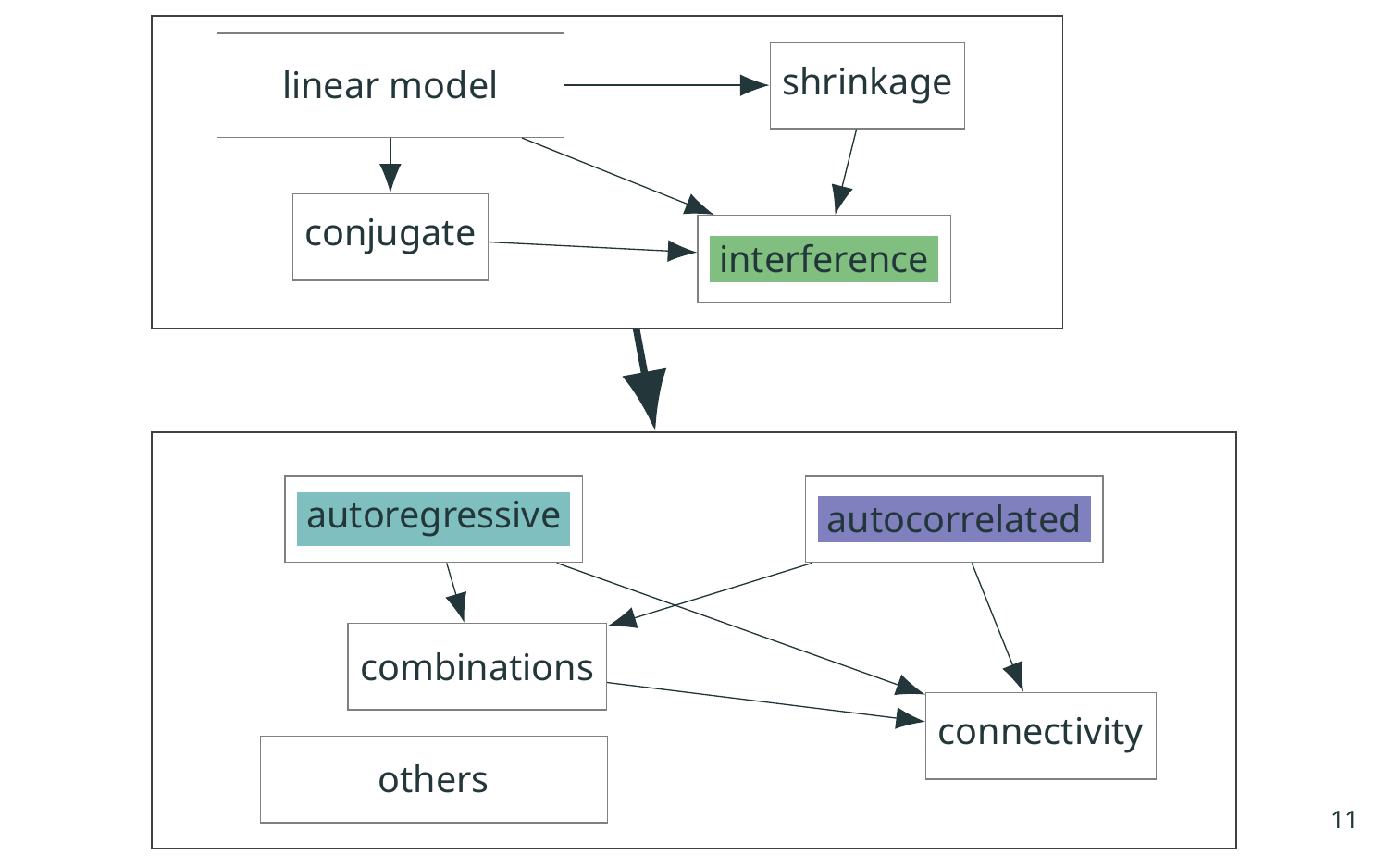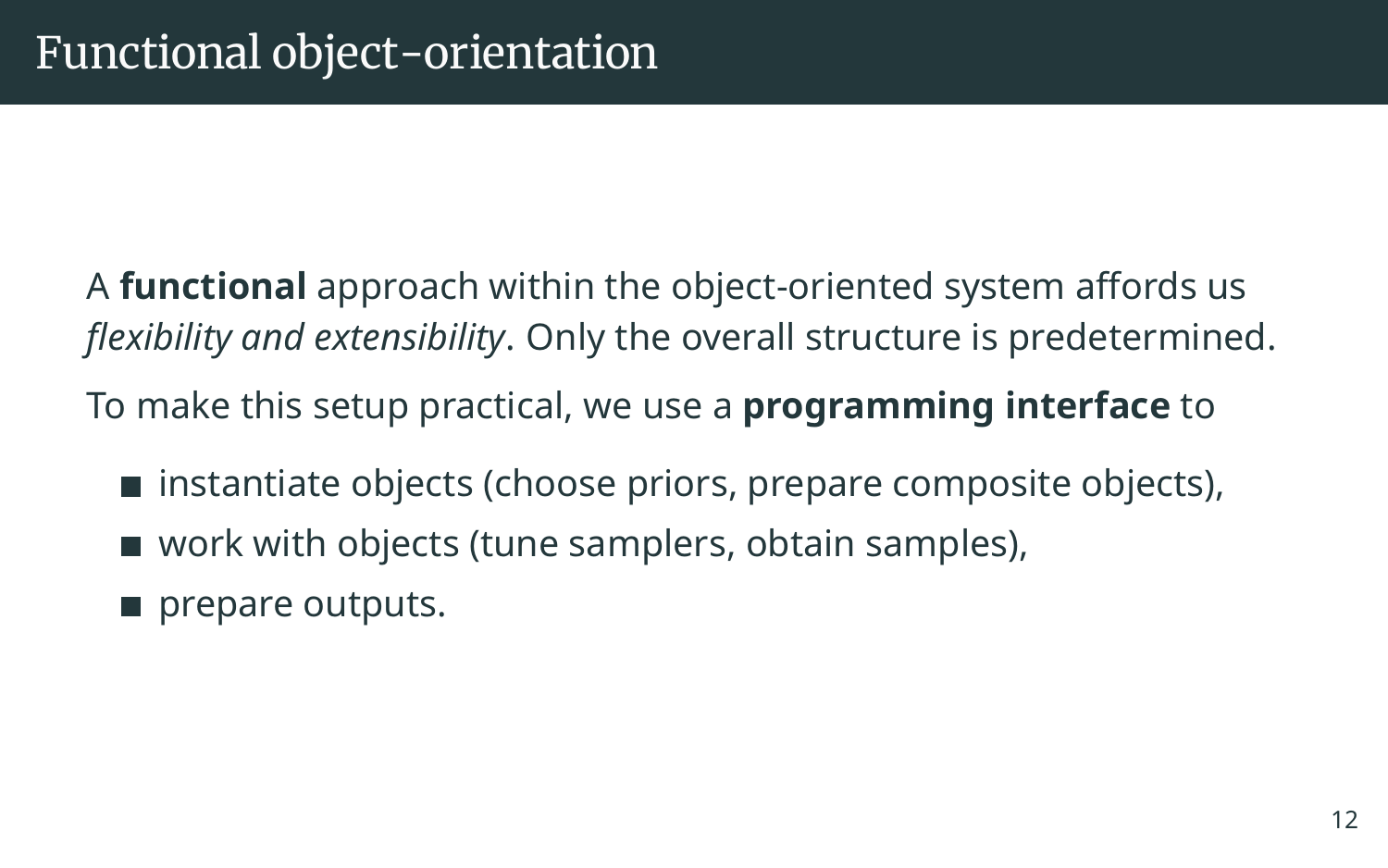A **functional** approach within the object-oriented system affords us *flexibility and extensibility*. Only the overall structure is predetermined.

To make this setup practical, we use a **programming interface** to

- $\blacksquare$  instantiate objects (choose priors, prepare composite objects),
- work with objects (tune samplers, obtain samples),
- prepare outputs.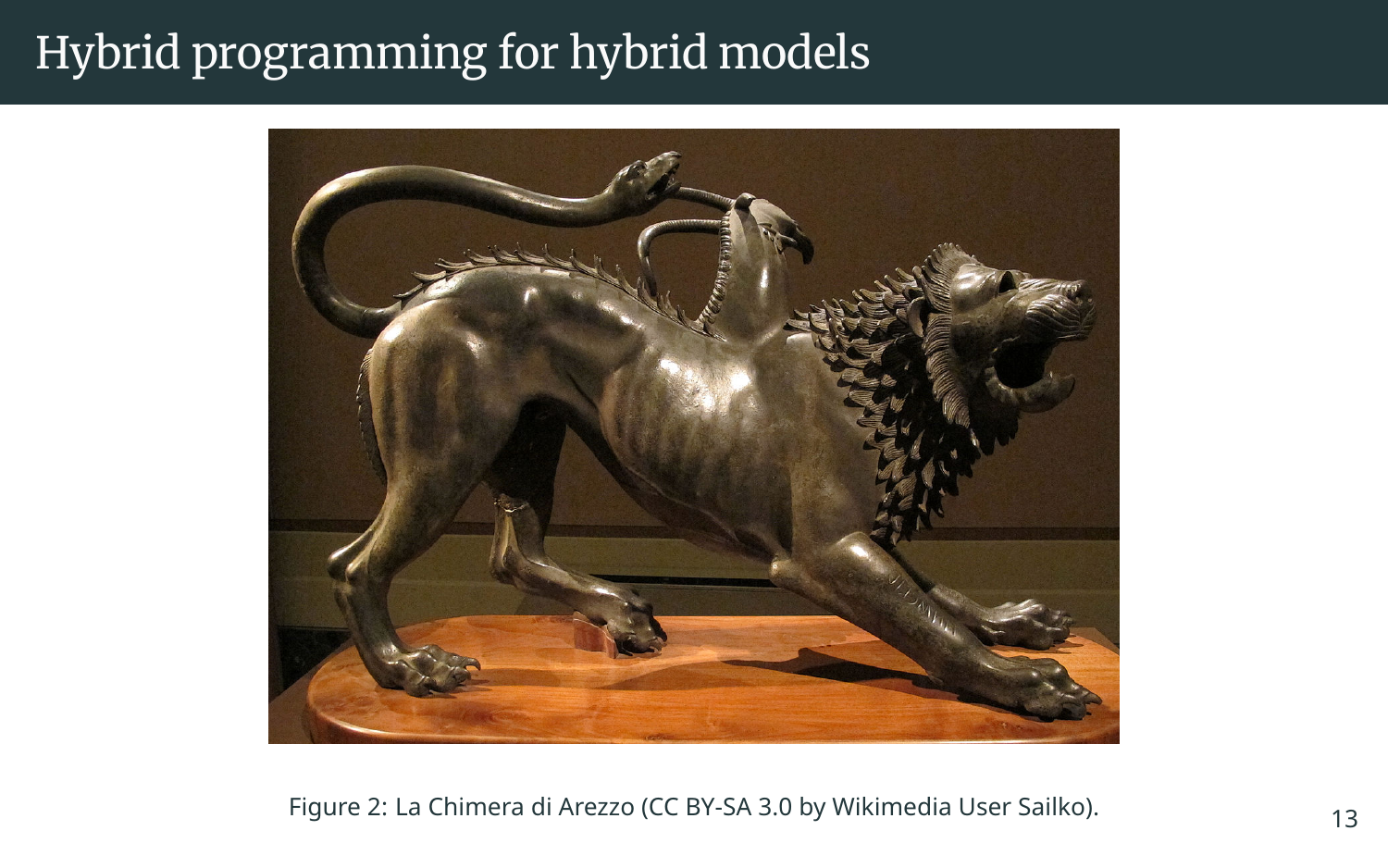## Hybrid programming for hybrid models



Figure 2: La Chimera di Arezzo (CC BY-SA 3.0 by Wikimedia User [Sailko\)](https://commons.wikimedia.org/wiki/User:Sailko).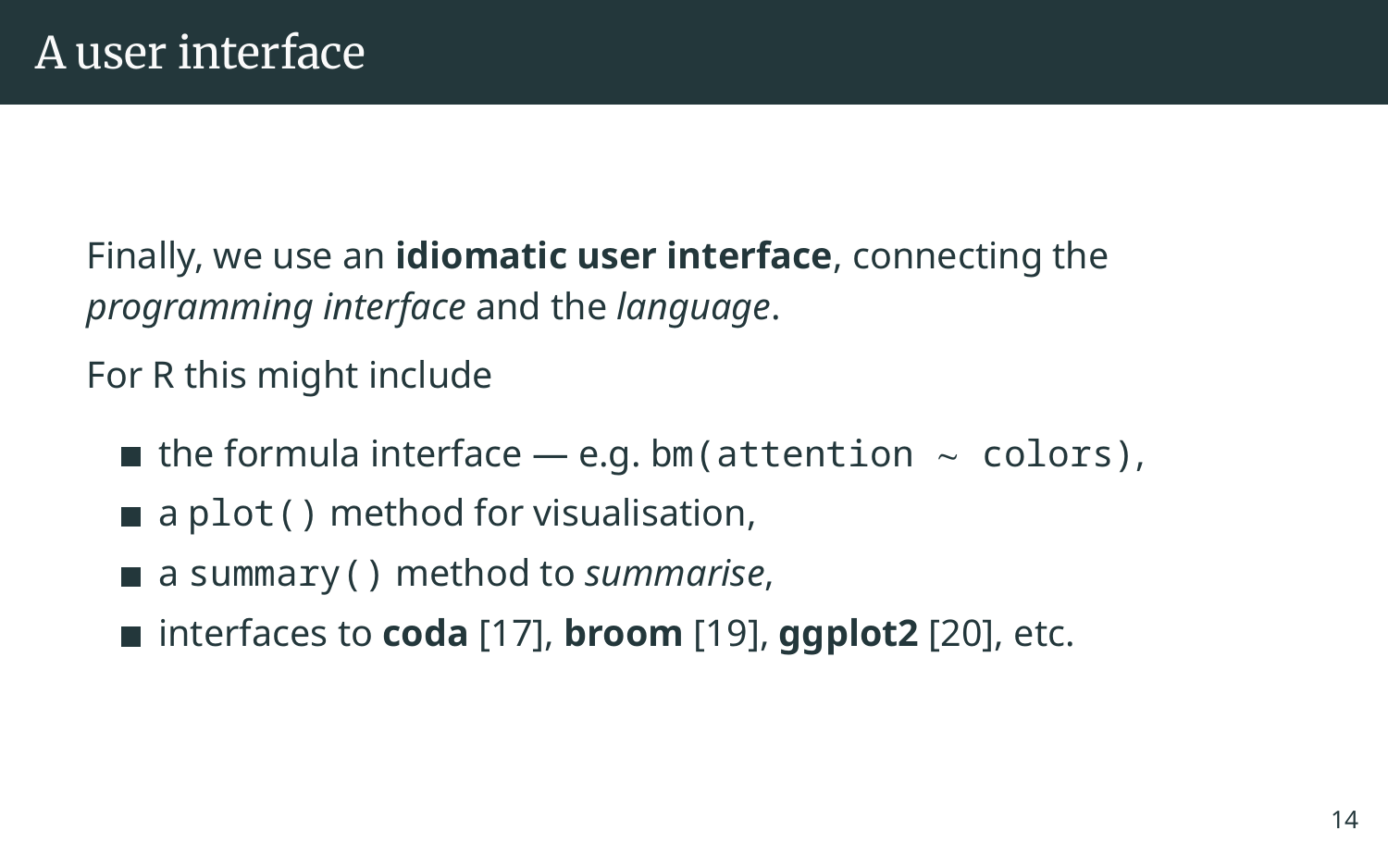Finally, we use an **idiomatic user interface**, connecting the *programming interface* and the *language*.

For R this might include

- $\blacksquare$  the formula interface e.g. bm(attention  $\sim$  colors),
- $\blacksquare$  a plot() method for visualisation,
- a summary() method to *summarise*,
- interfaces to **coda** [\[17\]](#page-33-0), **broom** [\[19\]](#page-33-1), **ggplot2** [\[20\]](#page-33-2), etc.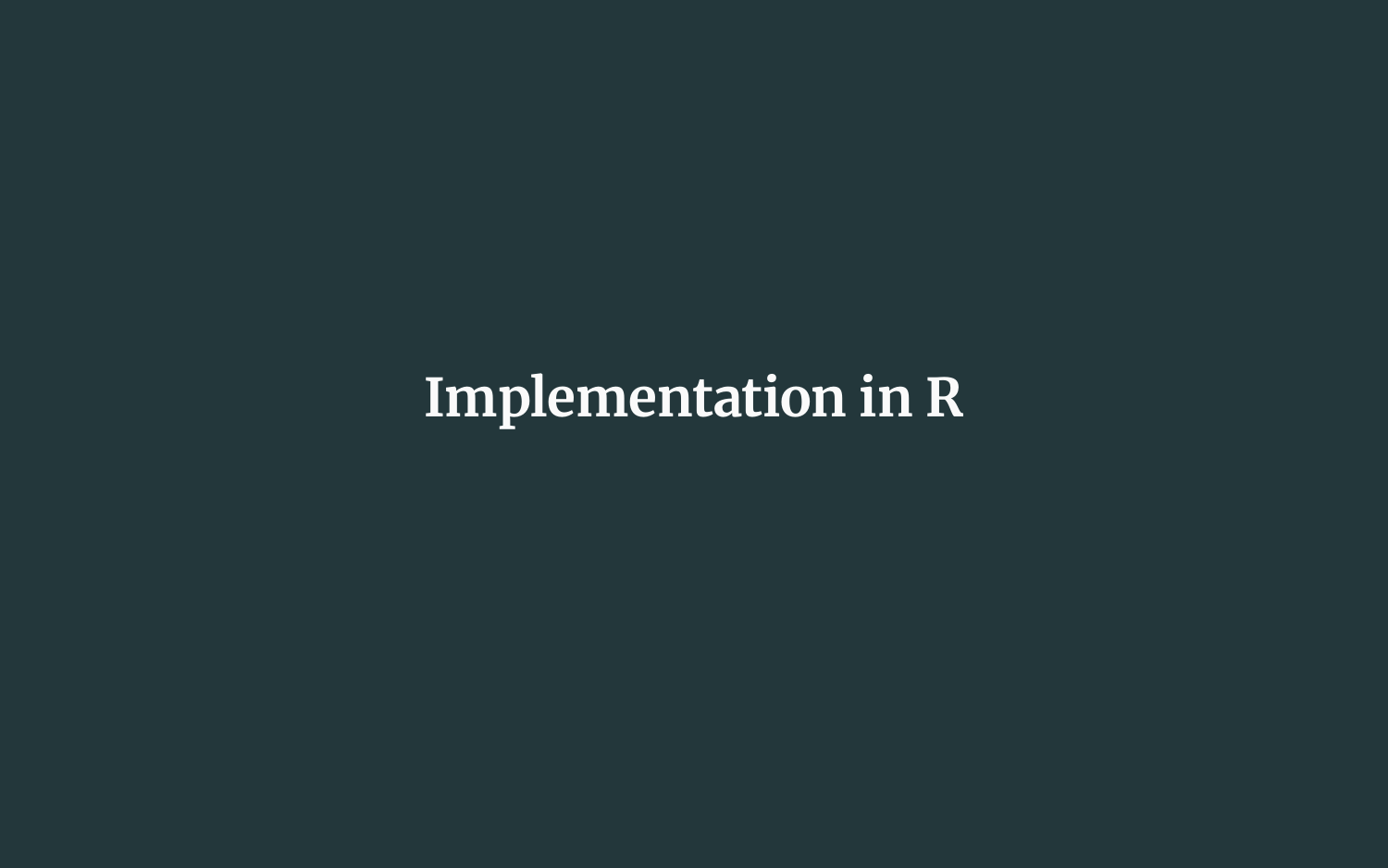## **Implementation in R**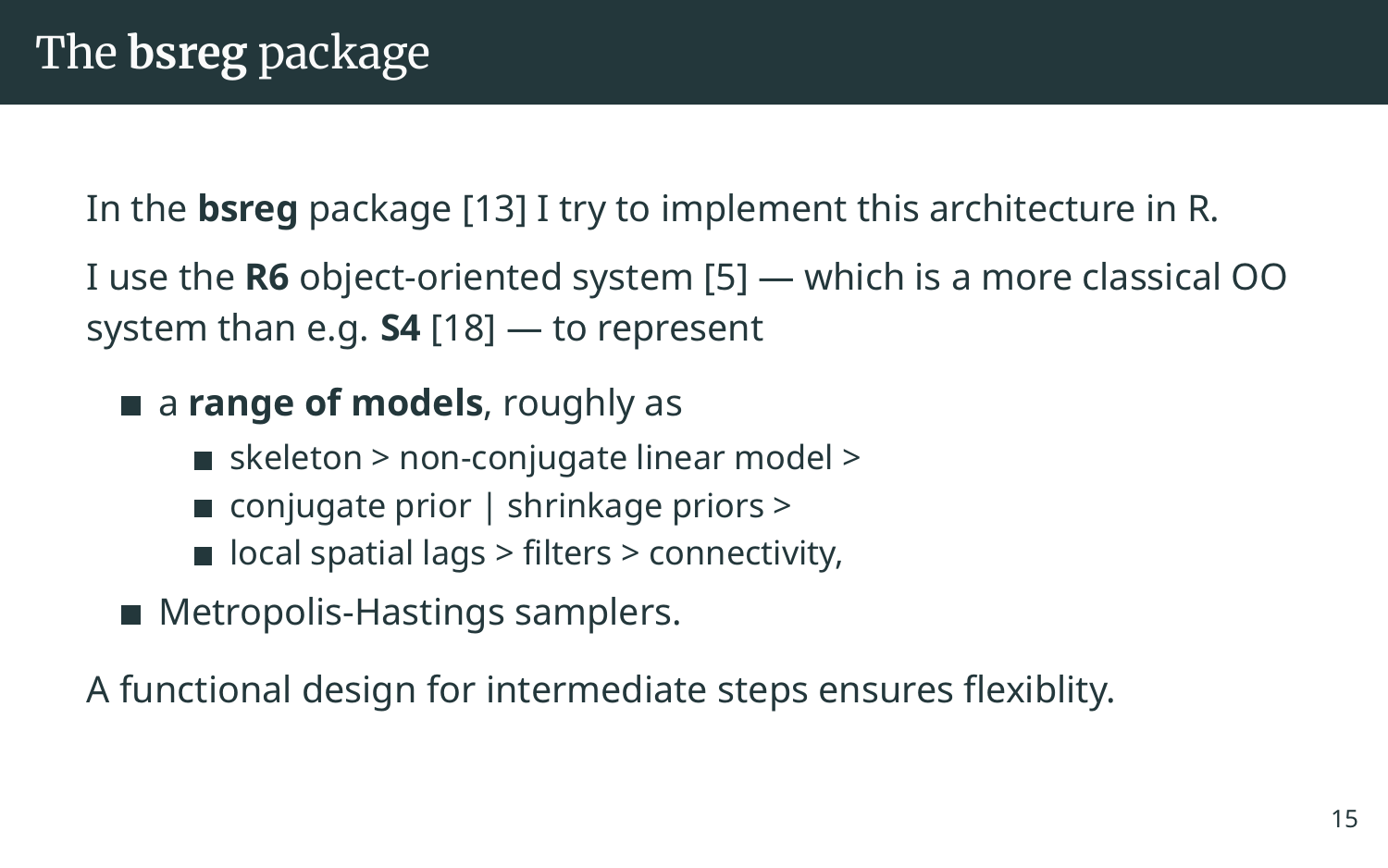In the **bsreg** package [\[13\]](#page-32-3) I try to implement this architecture in R.

I use the **R6** object-oriented system [\[5\]](#page-30-3) — which is a more classical OO system than e.g. **S4** [\[18\]](#page-33-3) — to represent

**a range of models**, roughly as

- $\blacksquare$  skeleton > non-conjugate linear model >
- $\blacksquare$  conjugate prior  $\vert$  shrinkage priors  $\vert$
- $\blacksquare$  local spatial lags > filters > connectivity,
- Metropolis-Hastings samplers.

A functional design for intermediate steps ensures flexiblity.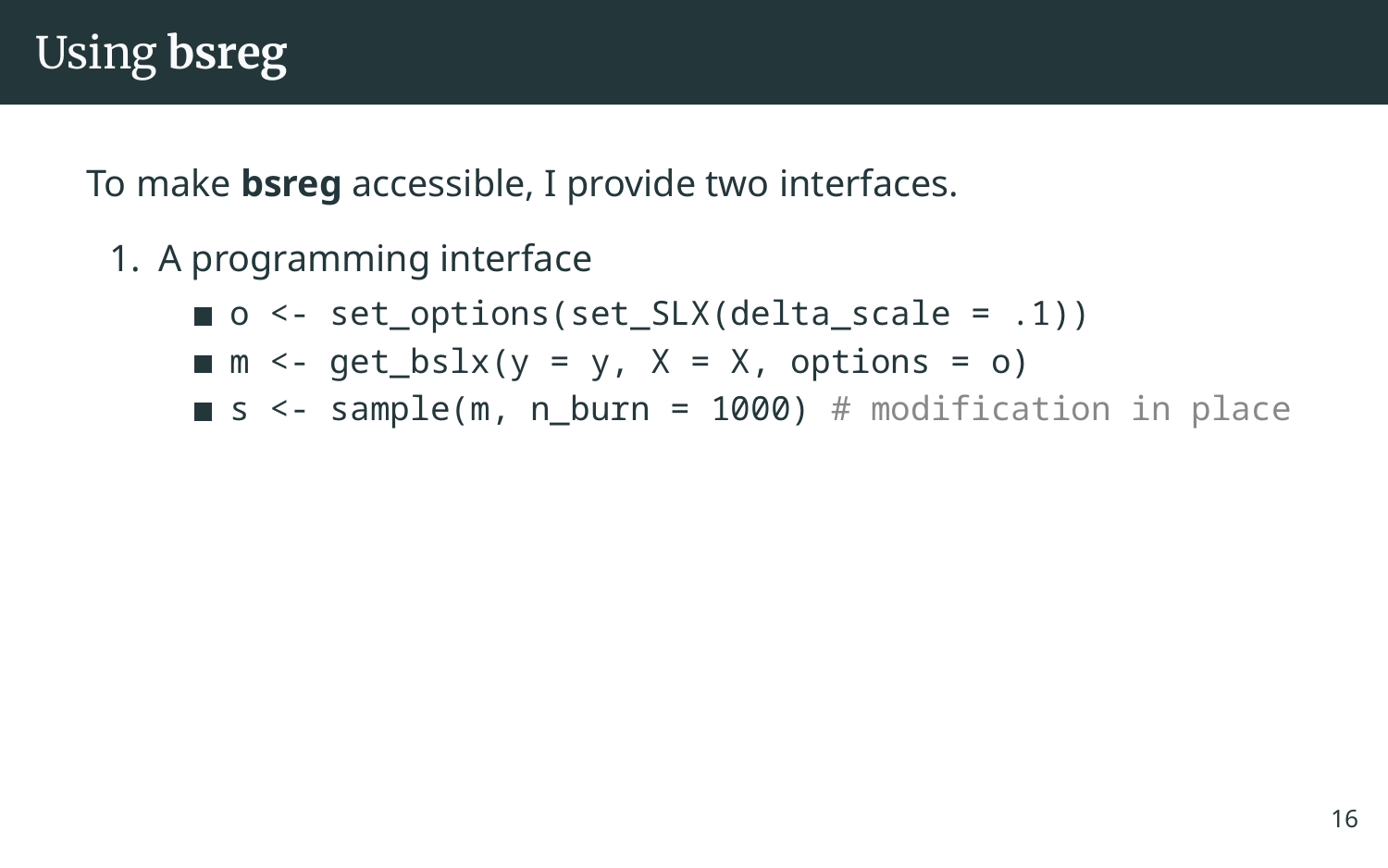To make **bsreg** accessible, I provide two interfaces.

- 1. A programming interface
	- $\Box$  o <- set options(set SLX(delta scale = .1))
	- $m \leq -get_bslx(y = y, X = X, options = o)$
	- $\blacksquare$  s <- sample(m, n burn = 1000) # modification in place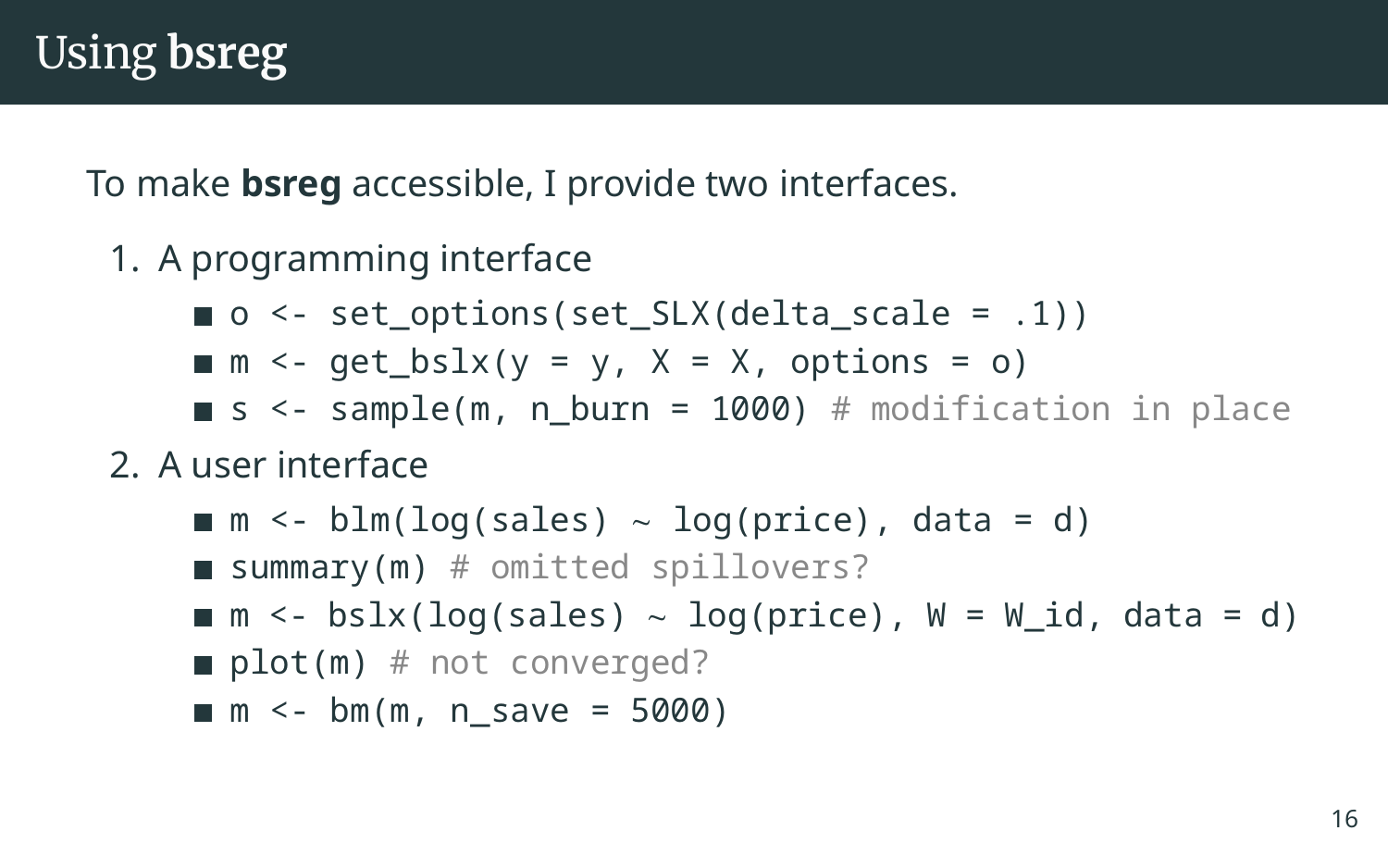To make **bsreg** accessible, I provide two interfaces.

- 1. A programming interface
	- $\Box$  o <- set options(set SLX(delta scale = .1))
	- $m \leq$  qet\_bslx(y = y, X = X, options = o)
	- $\blacksquare$  s <- sample(m, n burn = 1000) # modification in place
- 2. A user interface

m <- blm(log(sales) ∼ log(price), data = d) **summary(m)**  $#$  omitted spillovers? m <- bslx(log(sales) ∼ log(price), W = W\_id, data = d) plot(m)  $#$  not converged?

 $m \le - \text{bm}(m, n\_save = 5000)$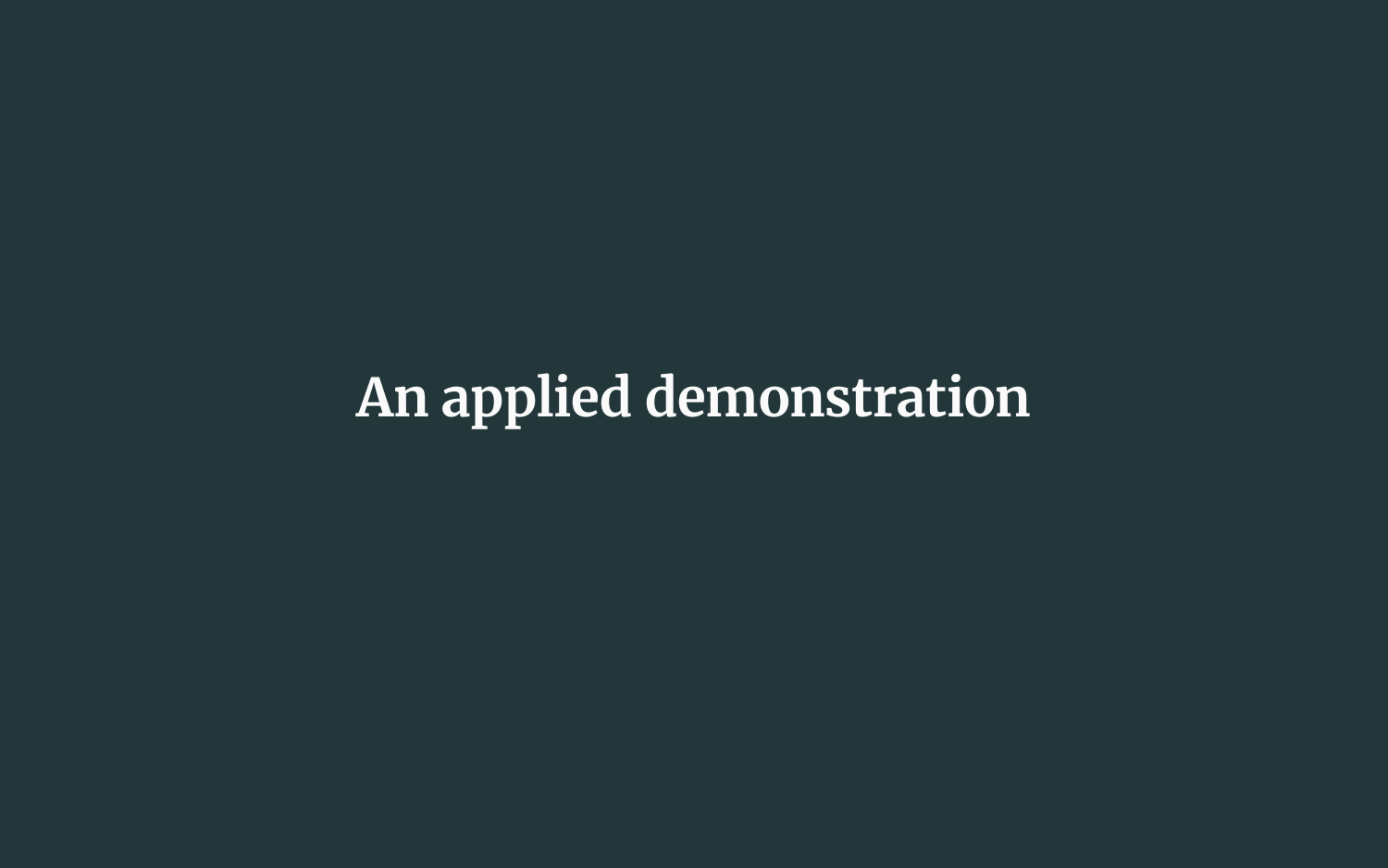## **An applied demonstration**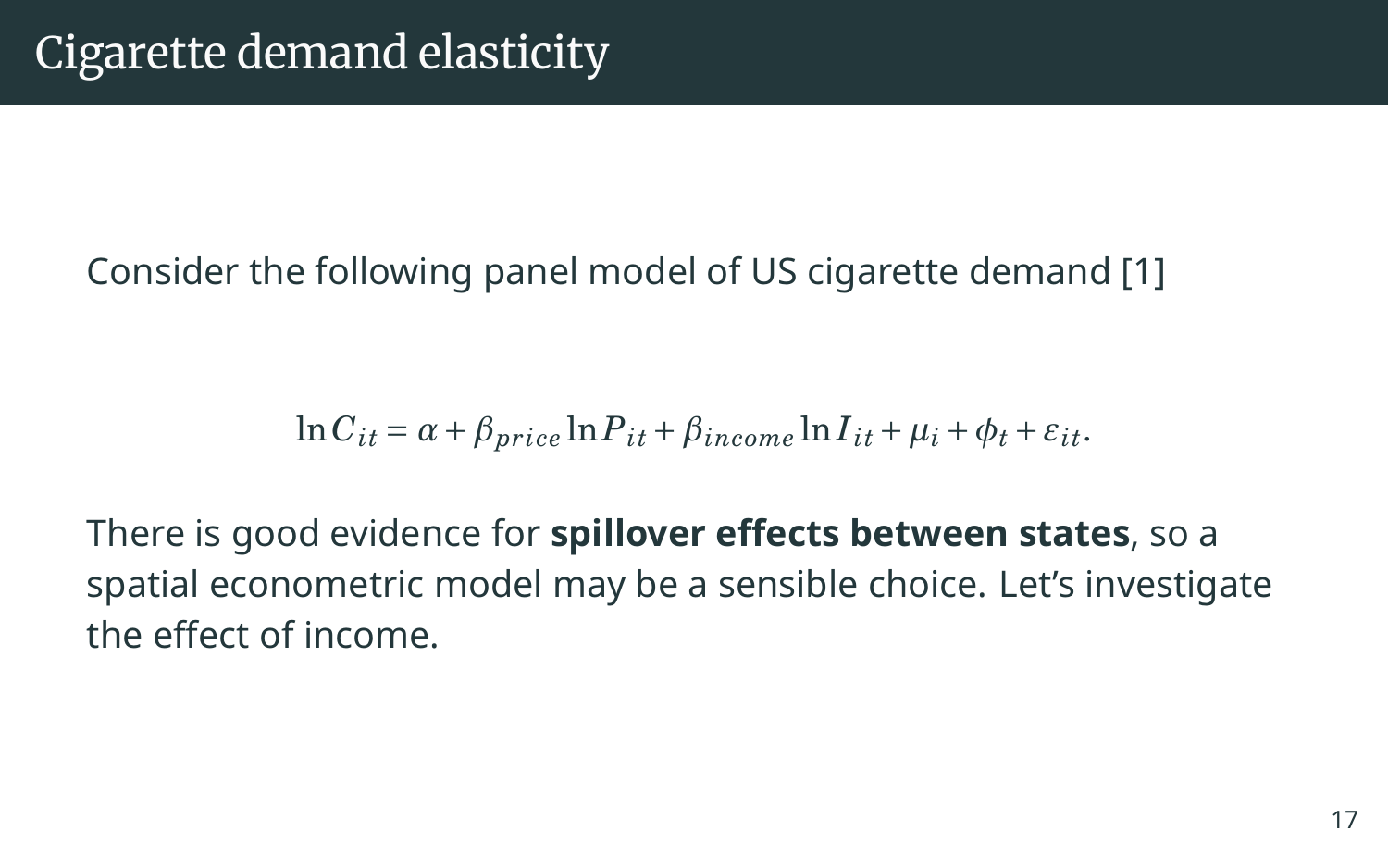Consider the following panel model of US cigarette demand [\[1\]](#page-29-2)

$$
\ln C_{it} = \alpha + \beta_{price} \ln P_{it} + \beta_{income} \ln I_{it} + \mu_i + \phi_t + \varepsilon_{it}.
$$

There is good evidence for **spillover effects between states**, so a spatial econometric model may be a sensible choice. Let's investigate the effect of income.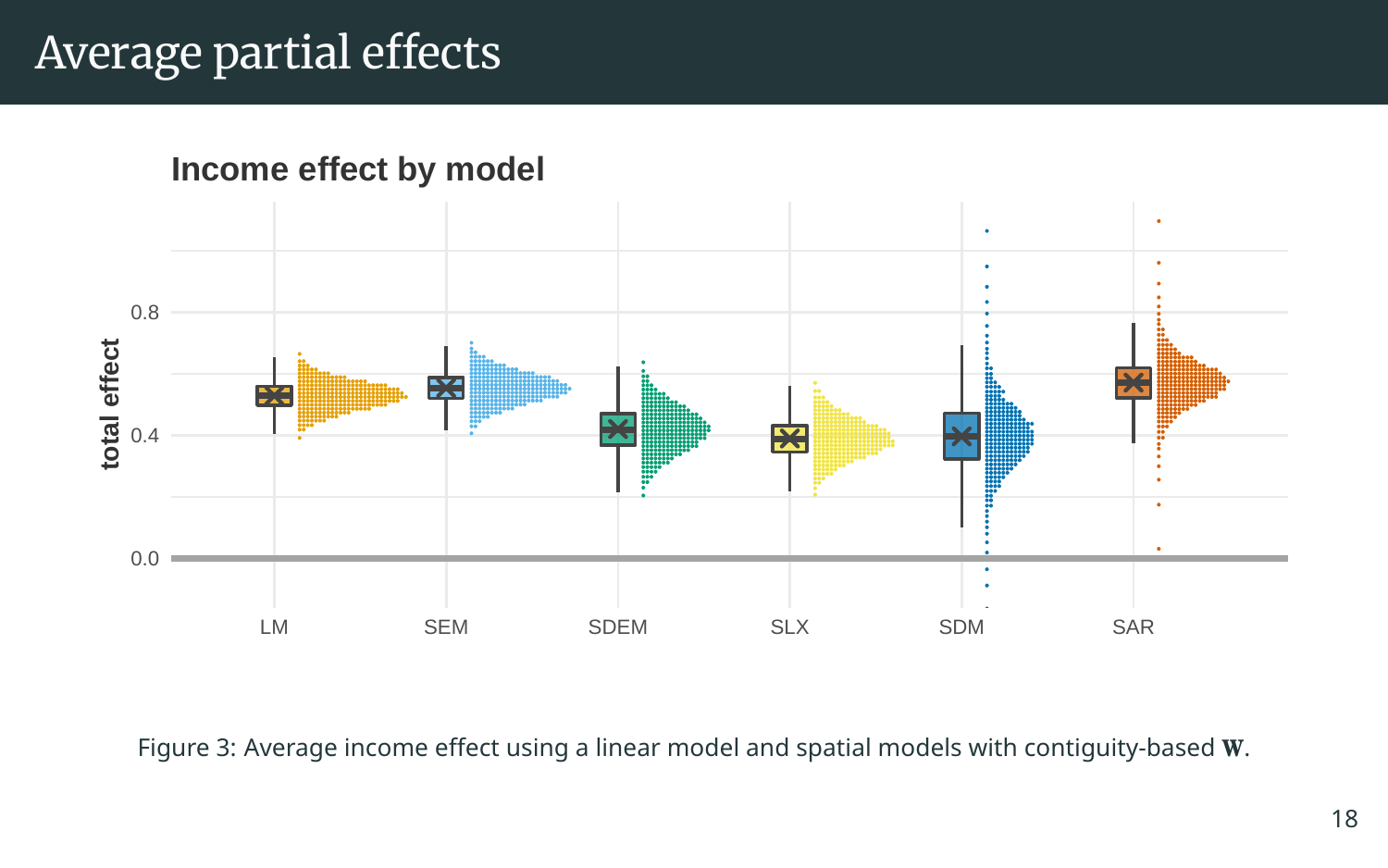### Average partial effects



Figure 3: Average income effect using a linear model and spatial models with contiguity-based **W**.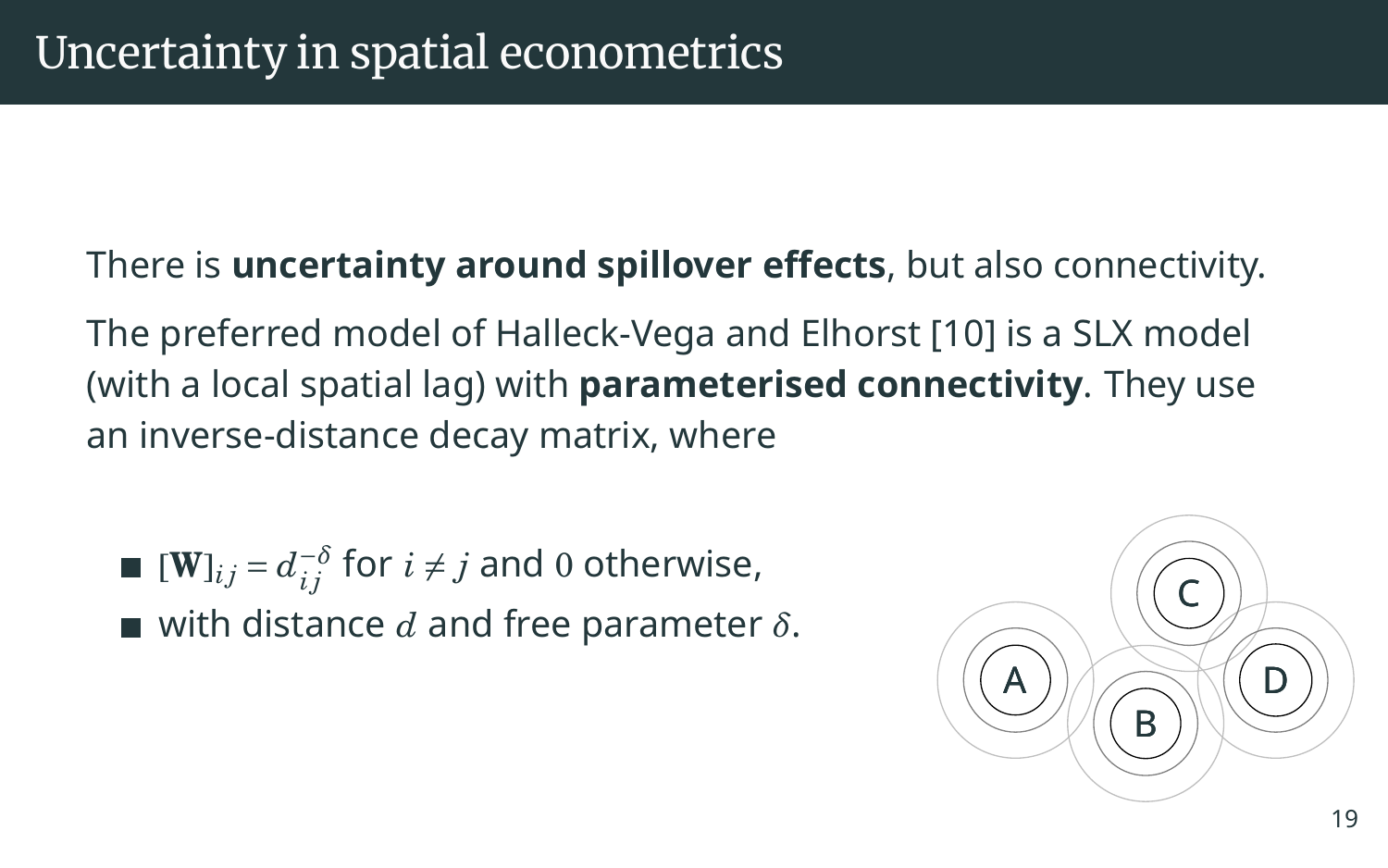### There is **uncertainty around spillover effects**, but also connectivity.

The preferred model of Halleck-Vega and Elhorst [\[10\]](#page-31-3) is a SLX model (with a local spatial lag) with **parameterised connectivity**. They use an inverse-distance decay matrix, where

■ [W]<sub>*ij*</sub> = 
$$
d_{ij}^{-\delta}
$$
 for  $i \neq j$  and 0 otherwise,

with distance *d* and free parameter *δ*.

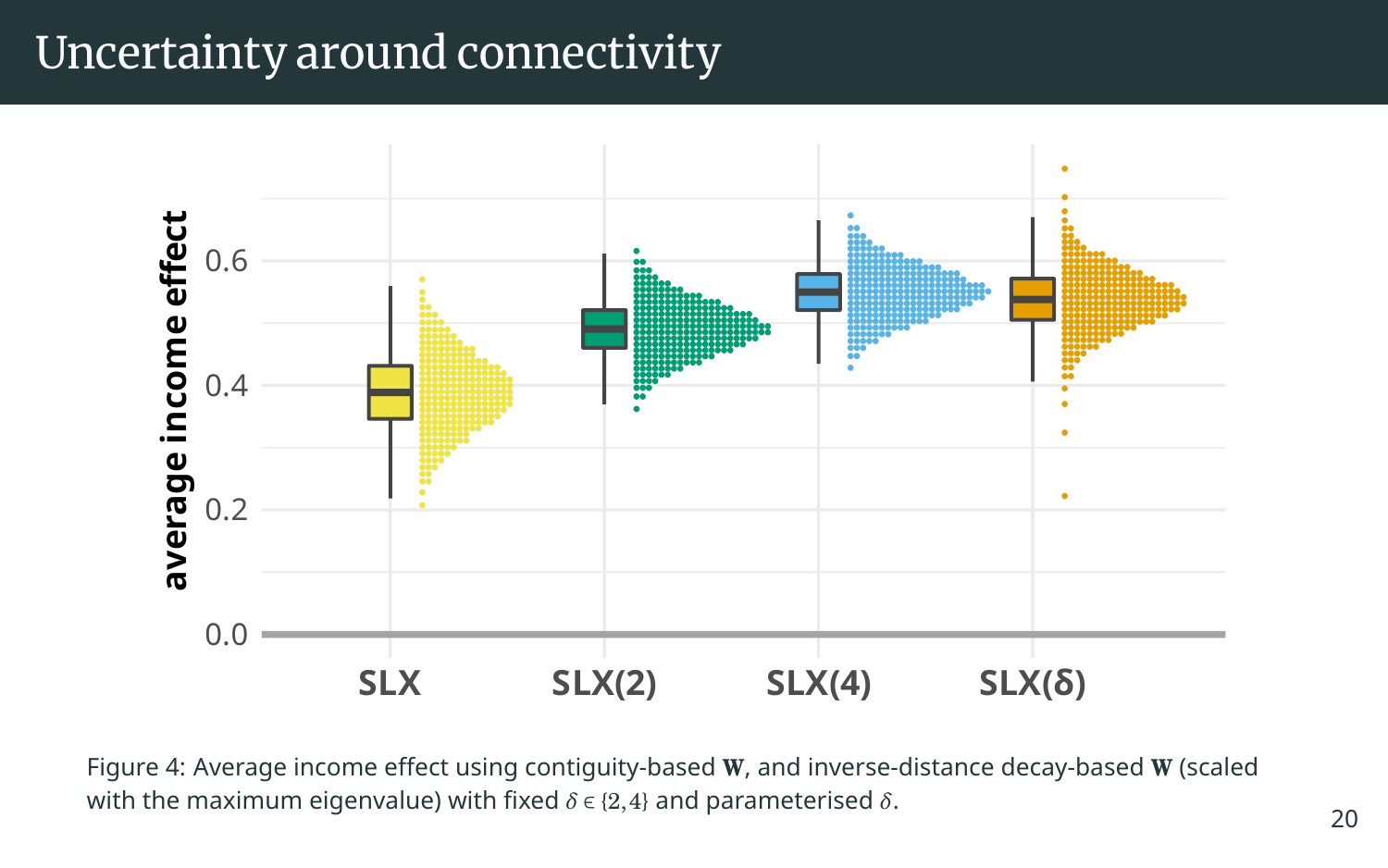### Uncertainty around connectivity



Figure 4: Average income effect using contiguity-based **W**, and inverse-distance decay-based **W** (scaled with the maximum eigenvalue) with fixed *δ* ∈ {2,4} and parameterised *δ*.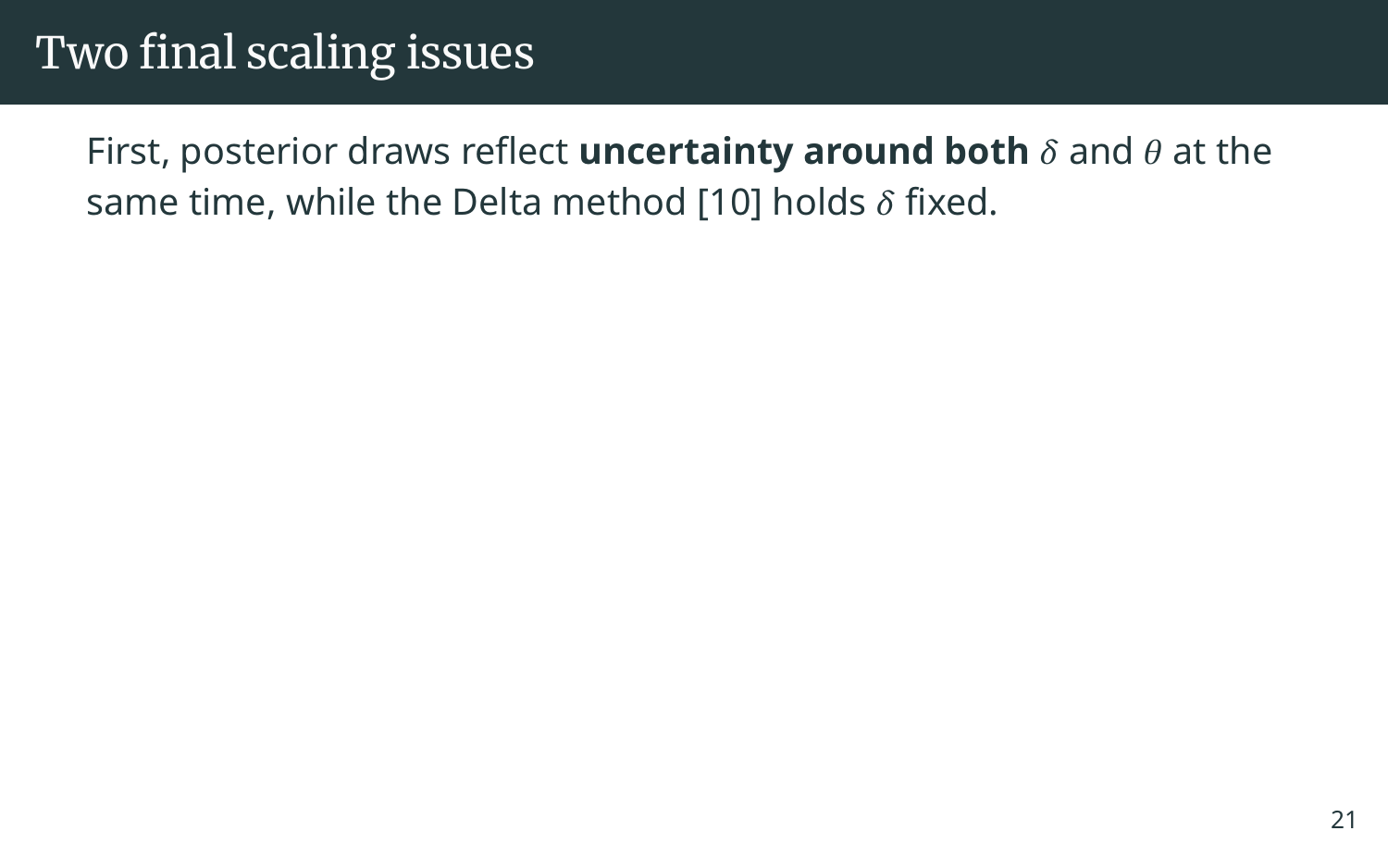### Two final scaling issues

First, posterior draws reflect **uncertainty around both** *δ* and *θ* at the same time, while the Delta method [\[10\]](#page-31-3) holds *δ* fixed.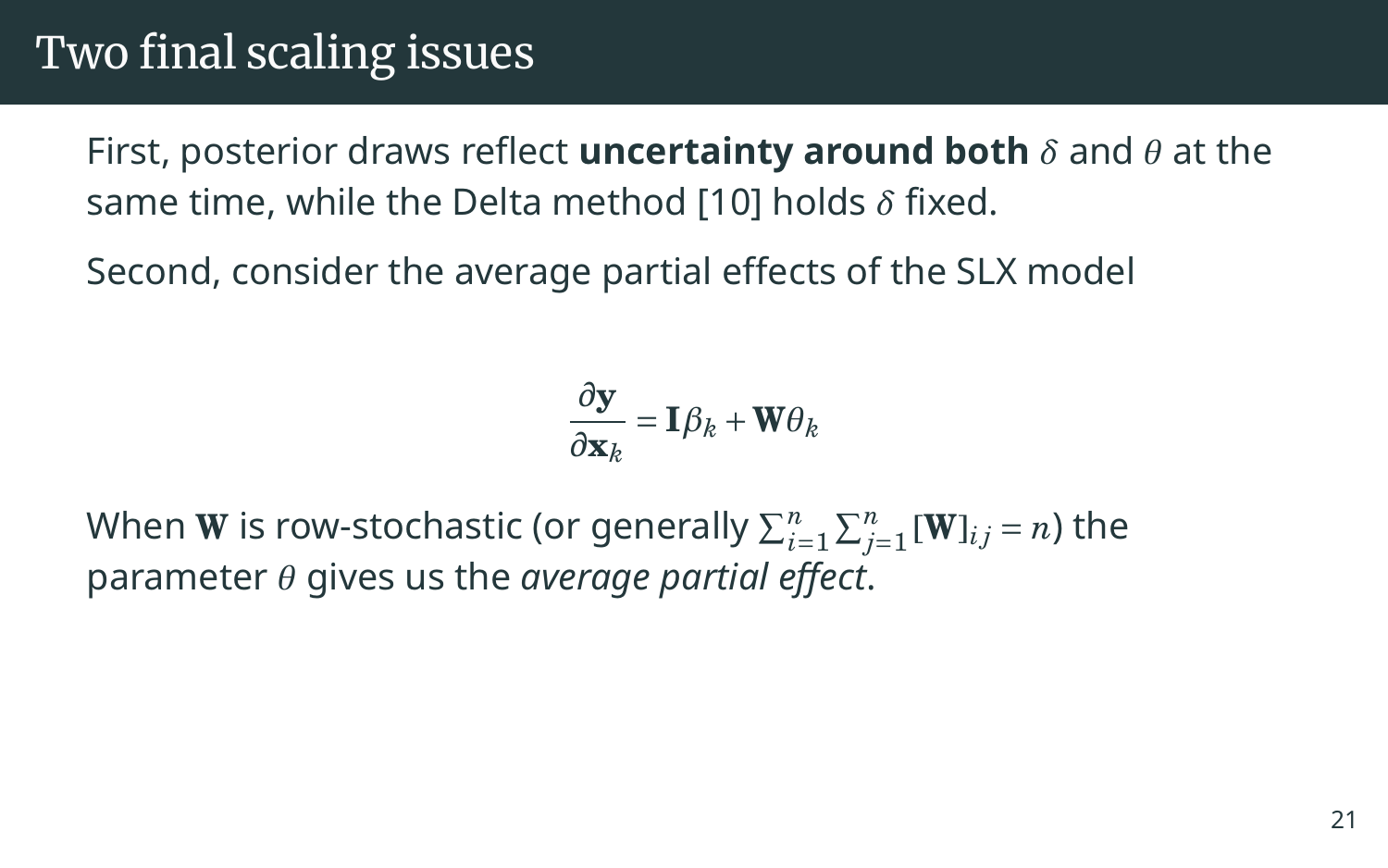### Two final scaling issues

First, posterior draws reflect **uncertainty around both** *δ* and *θ* at the same time, while the Delta method [\[10\]](#page-31-3) holds *δ* fixed.

Second, consider the average partial effects of the SLX model

$$
\frac{\partial \mathbf{y}}{\partial \mathbf{x}_k} = \mathbf{I}\boldsymbol{\beta}_k + \mathbf{W}\boldsymbol{\theta}_k
$$

When **W** is row-stochastic (or generally  $\sum_{i=1}^n\sum_{j=1}^n[\mathbf{W}]_{ij}$  =  $n$ ) the parameter *θ* gives us the *average partial effect*.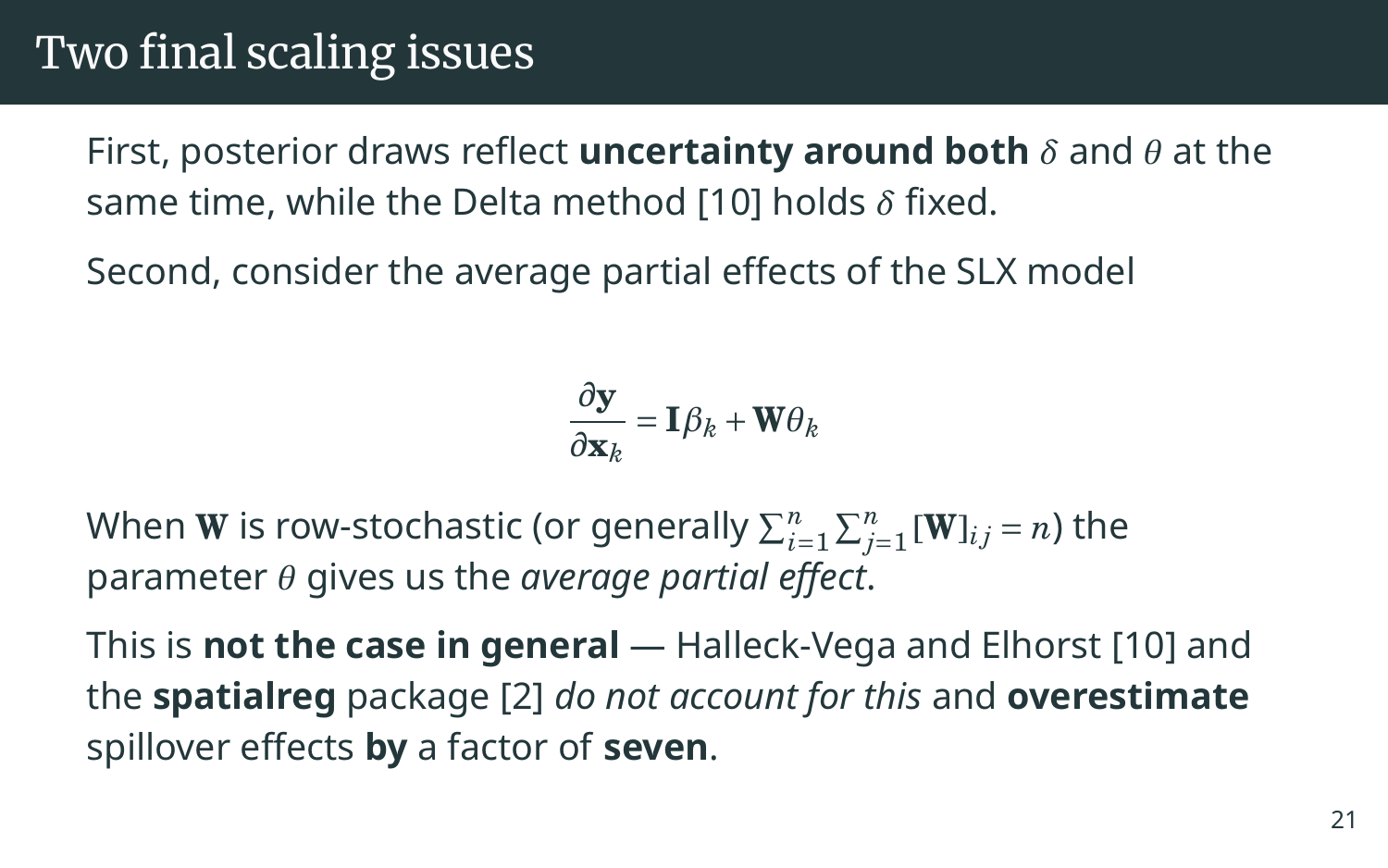### Two final scaling issues

First, posterior draws reflect **uncertainty around both** *δ* and *θ* at the same time, while the Delta method [\[10\]](#page-31-3) holds *δ* fixed.

Second, consider the average partial effects of the SLX model

$$
\frac{\partial \mathbf{y}}{\partial \mathbf{x}_k} = \mathbf{I}\boldsymbol{\beta}_k + \mathbf{W}\boldsymbol{\theta}_k
$$

When **W** is row-stochastic (or generally  $\sum_{i=1}^n\sum_{j=1}^n[\mathbf{W}]_{ij}$  =  $n$ ) the parameter *θ* gives us the *average partial effect*.

This is **not the case in general** — Halleck-Vega and Elhorst [\[10\]](#page-31-3) and the **spatialreg** package [\[2\]](#page-29-3) *do not account for this* and **overestimate** spillover effects **by** a factor of **seven**.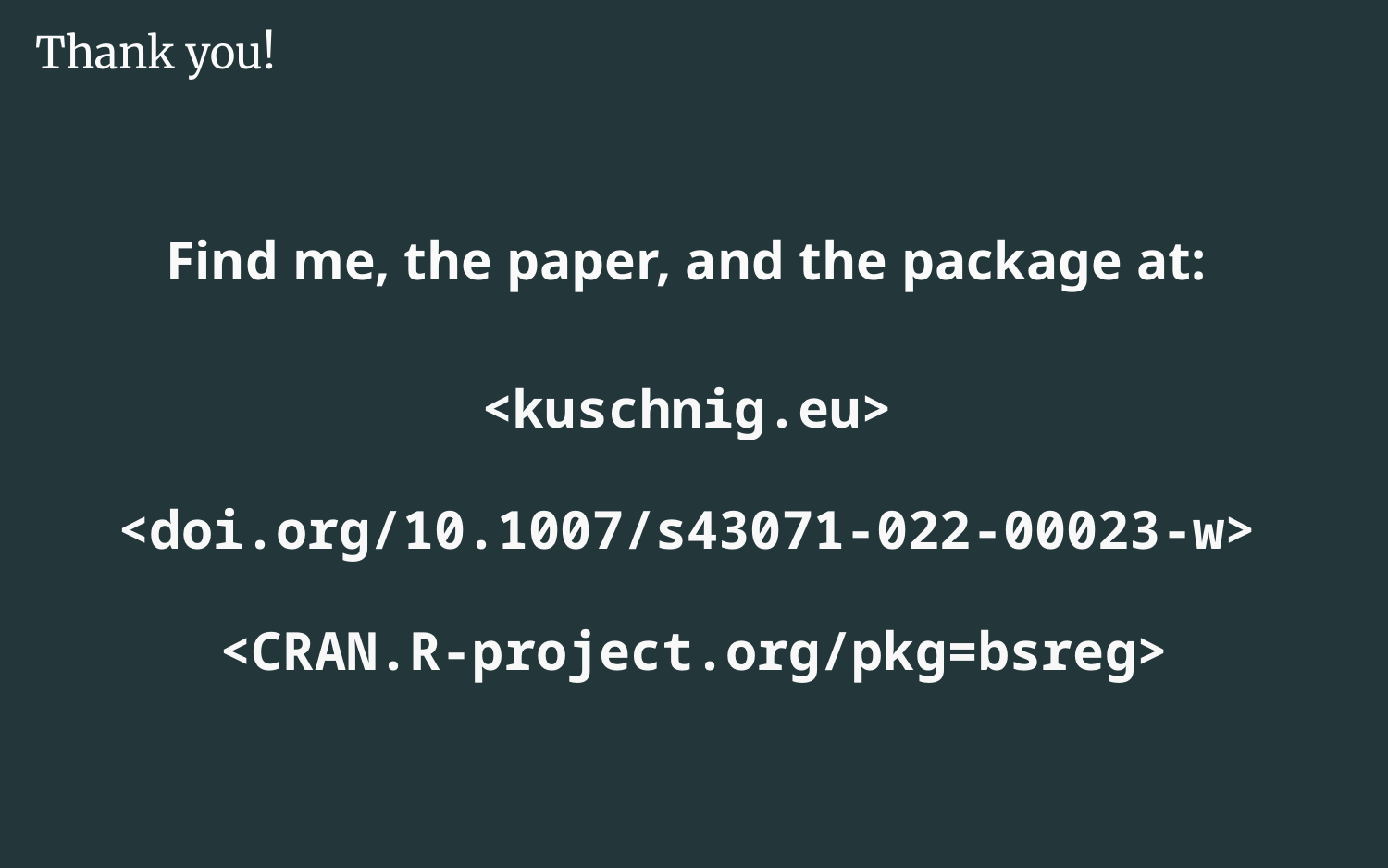Thank you!

## **Find me, the paper, and the package at:**

### **[<kuschnig.eu>](https://kuschnig.eu)**

**[<doi.org/10.1007/s43071-022-00023-w>](https://doi.org/10.1007/s43071-022-00023-w)**

**[<CRAN.R-project.org/pkg=bsreg>](https://CRAN.R-project.org/pkg=bsreg)**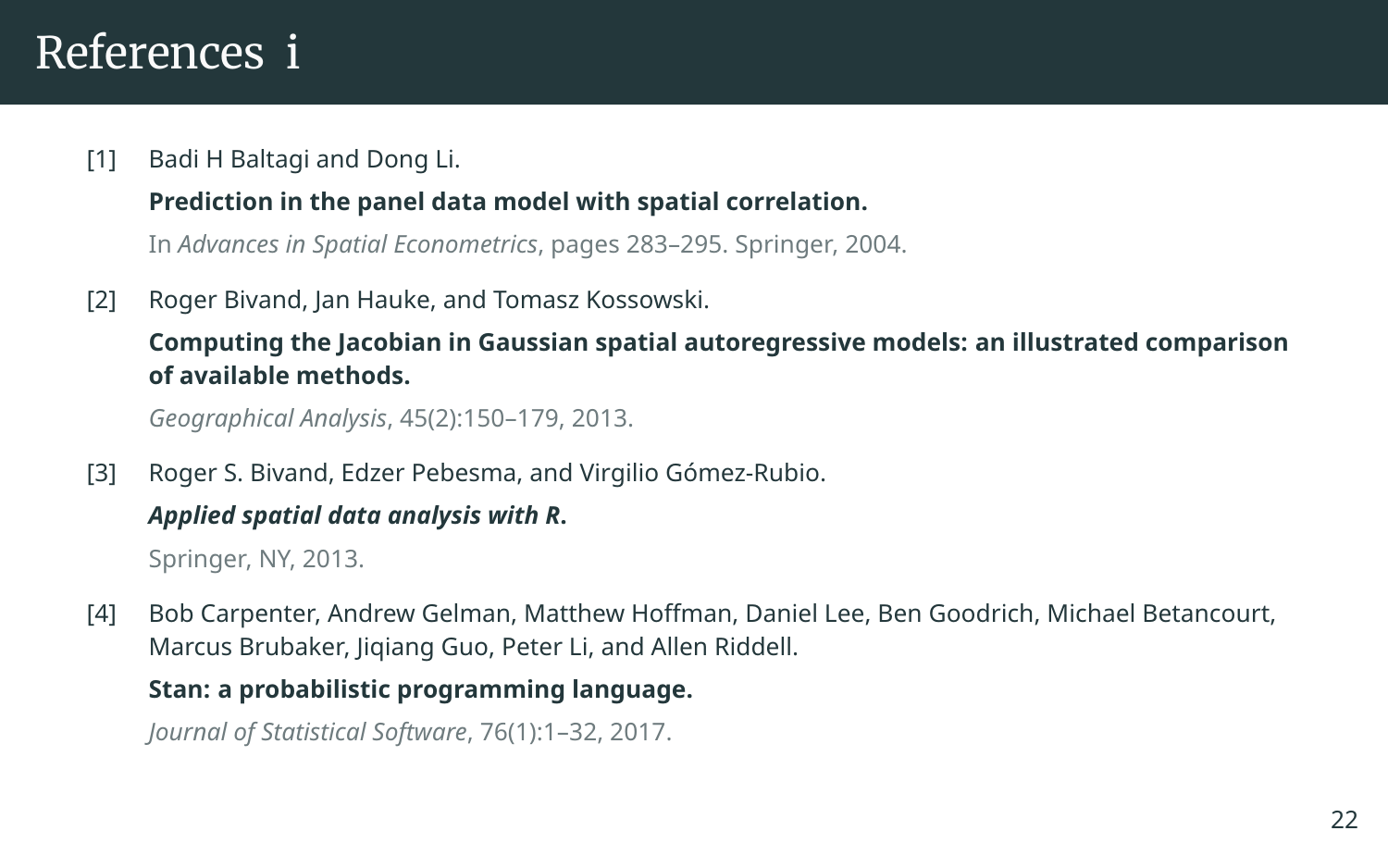### References i

<span id="page-29-2"></span>[1] Badi H Baltagi and Dong Li.

### **Prediction in the panel data model with spatial correlation.**

In *Advances in Spatial Econometrics*, pages 283–295. Springer, 2004.

<span id="page-29-3"></span>[2] Roger Bivand, Jan Hauke, and Tomasz Kossowski.

#### **Computing the Jacobian in Gaussian spatial autoregressive models: an illustrated comparison of available methods.**

*Geographical Analysis*, 45(2):150–179, 2013.

<span id="page-29-0"></span>[3] Roger S. Bivand, Edzer Pebesma, and Virgilio Gómez-Rubio.

#### *Applied spatial data analysis with R***.**

Springer, NY, 2013.

<span id="page-29-1"></span>[4] Bob Carpenter, Andrew Gelman, Matthew Hoffman, Daniel Lee, Ben Goodrich, Michael Betancourt, Marcus Brubaker, Jiqiang Guo, Peter Li, and Allen Riddell.

#### **Stan: a probabilistic programming language.**

*Journal of Statistical Software*, 76(1):1–32, 2017.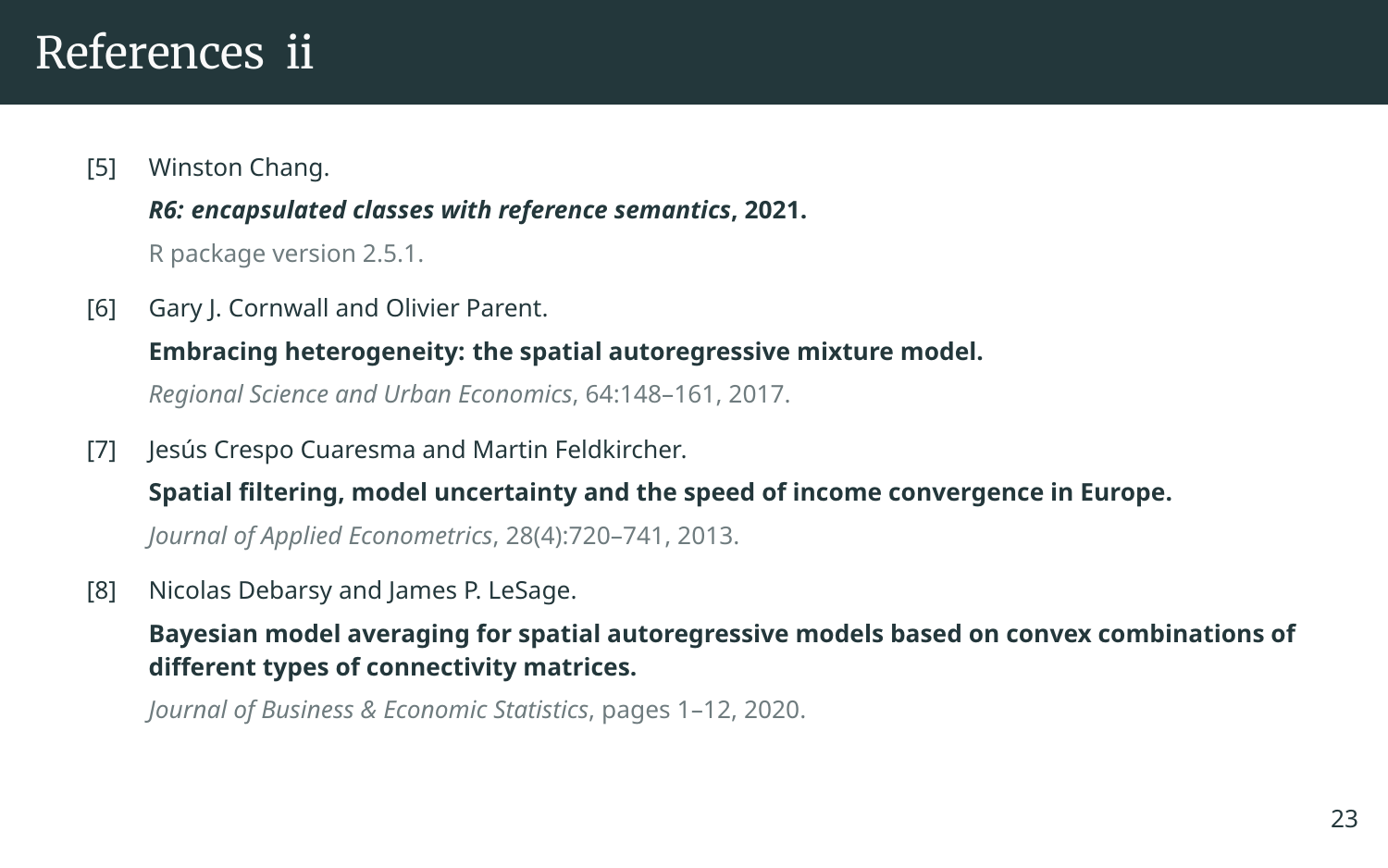### References ii

<span id="page-30-3"></span>[5] Winston Chang.

*R6: encapsulated classes with reference semantics***, 2021.** R package version 2.5.1.

<span id="page-30-1"></span>[6] Gary J. Cornwall and Olivier Parent.

**Embracing heterogeneity: the spatial autoregressive mixture model.**

*Regional Science and Urban Economics*, 64:148–161, 2017.

<span id="page-30-0"></span>[7] Jesús Crespo Cuaresma and Martin Feldkircher.

**Spatial filtering, model uncertainty and the speed of income convergence in Europe.**

*Journal of Applied Econometrics*, 28(4):720–741, 2013.

<span id="page-30-2"></span>[8] Nicolas Debarsy and James P. LeSage.

**Bayesian model averaging for spatial autoregressive models based on convex combinations of different types of connectivity matrices.**

*Journal of Business & Economic Statistics*, pages 1–12, 2020.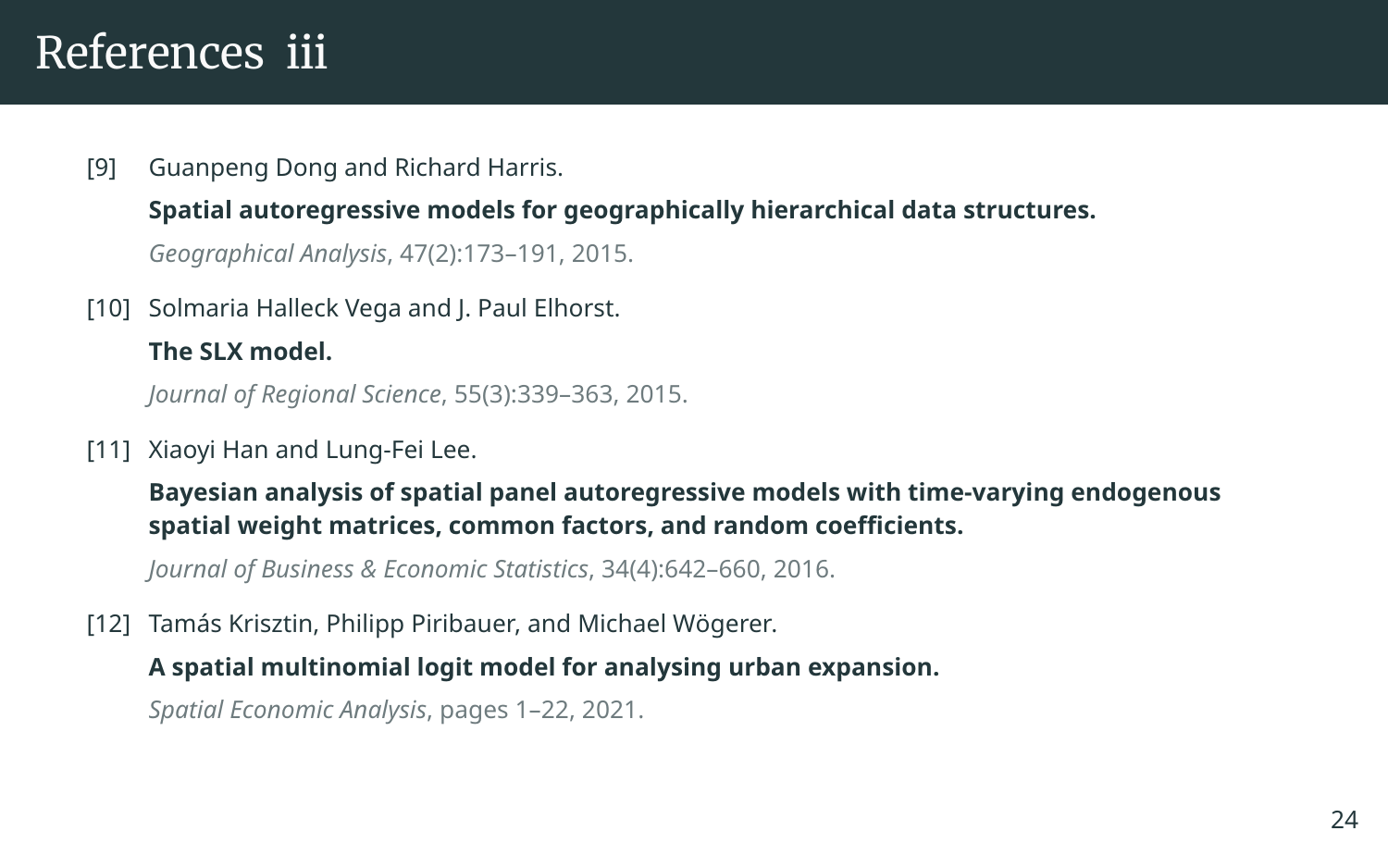### References iii

### <span id="page-31-0"></span>[9] Guanpeng Dong and Richard Harris. **Spatial autoregressive models for geographically hierarchical data structures.** *Geographical Analysis*, 47(2):173–191, 2015.

<span id="page-31-3"></span>[10] Solmaria Halleck Vega and J. Paul Elhorst.

#### **The SLX model.**

*Journal of Regional Science*, 55(3):339–363, 2015.

<span id="page-31-1"></span>[11] Xiaoyi Han and Lung-Fei Lee.

**Bayesian analysis of spatial panel autoregressive models with time-varying endogenous spatial weight matrices, common factors, and random coefficients.**

*Journal of Business & Economic Statistics*, 34(4):642–660, 2016.

<span id="page-31-2"></span>[12] Tamás Krisztin, Philipp Piribauer, and Michael Wögerer.

#### **A spatial multinomial logit model for analysing urban expansion.**

*Spatial Economic Analysis*, pages 1–22, 2021.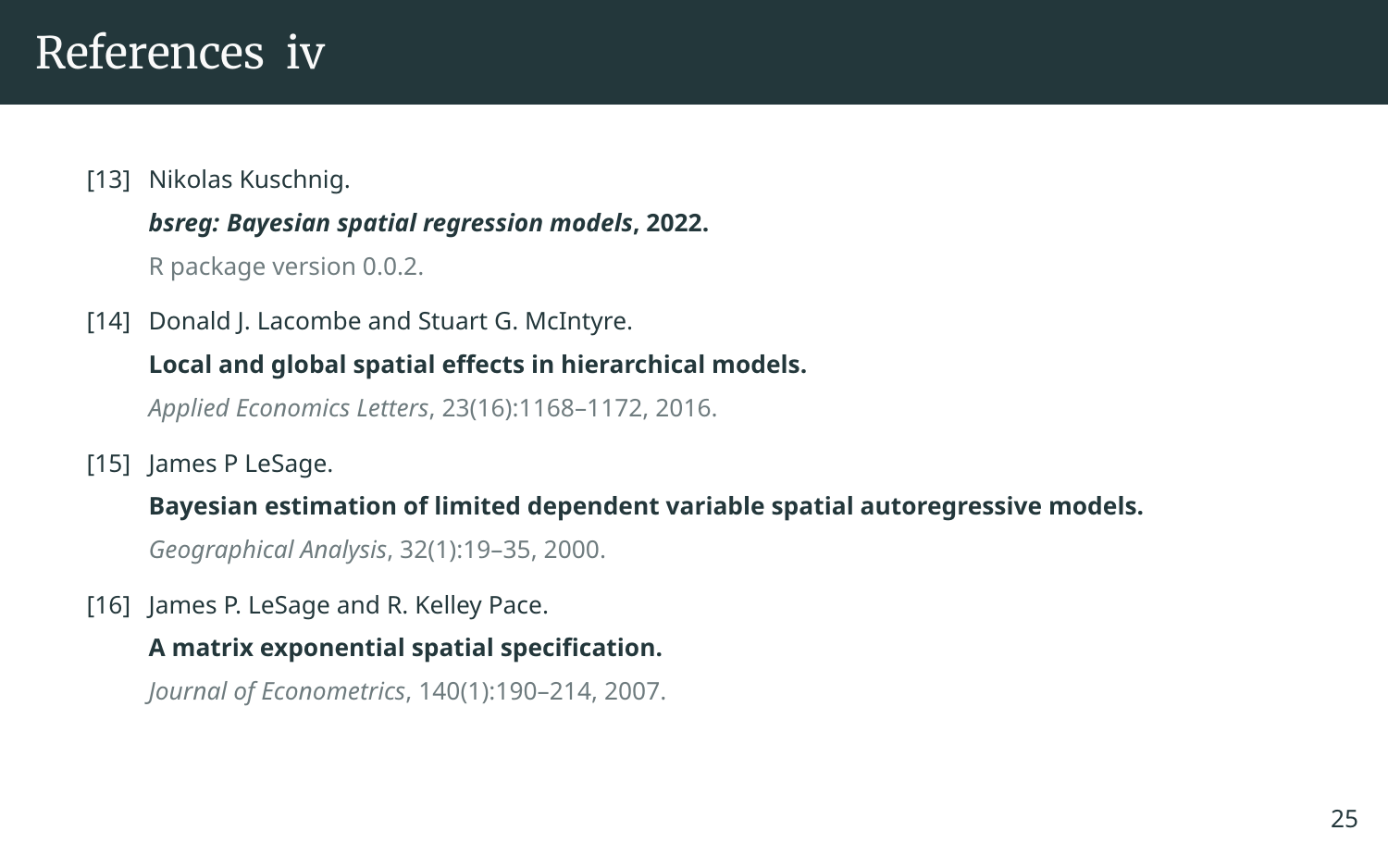### References iv

#### <span id="page-32-3"></span>[13] Nikolas Kuschnig.

#### *bsreg: Bayesian spatial regression models***, 2022.**

R package version 0.0.2.

<span id="page-32-1"></span>[14] Donald J. Lacombe and Stuart G. McIntyre.

### **Local and global spatial effects in hierarchical models.**

*Applied Economics Letters*, 23(16):1168–1172, 2016.

<span id="page-32-2"></span>[15] James P LeSage.

**Bayesian estimation of limited dependent variable spatial autoregressive models.**

*Geographical Analysis*, 32(1):19–35, 2000.

<span id="page-32-0"></span>[16] James P. LeSage and R. Kelley Pace.

#### **A matrix exponential spatial specification.**

*Journal of Econometrics*, 140(1):190–214, 2007.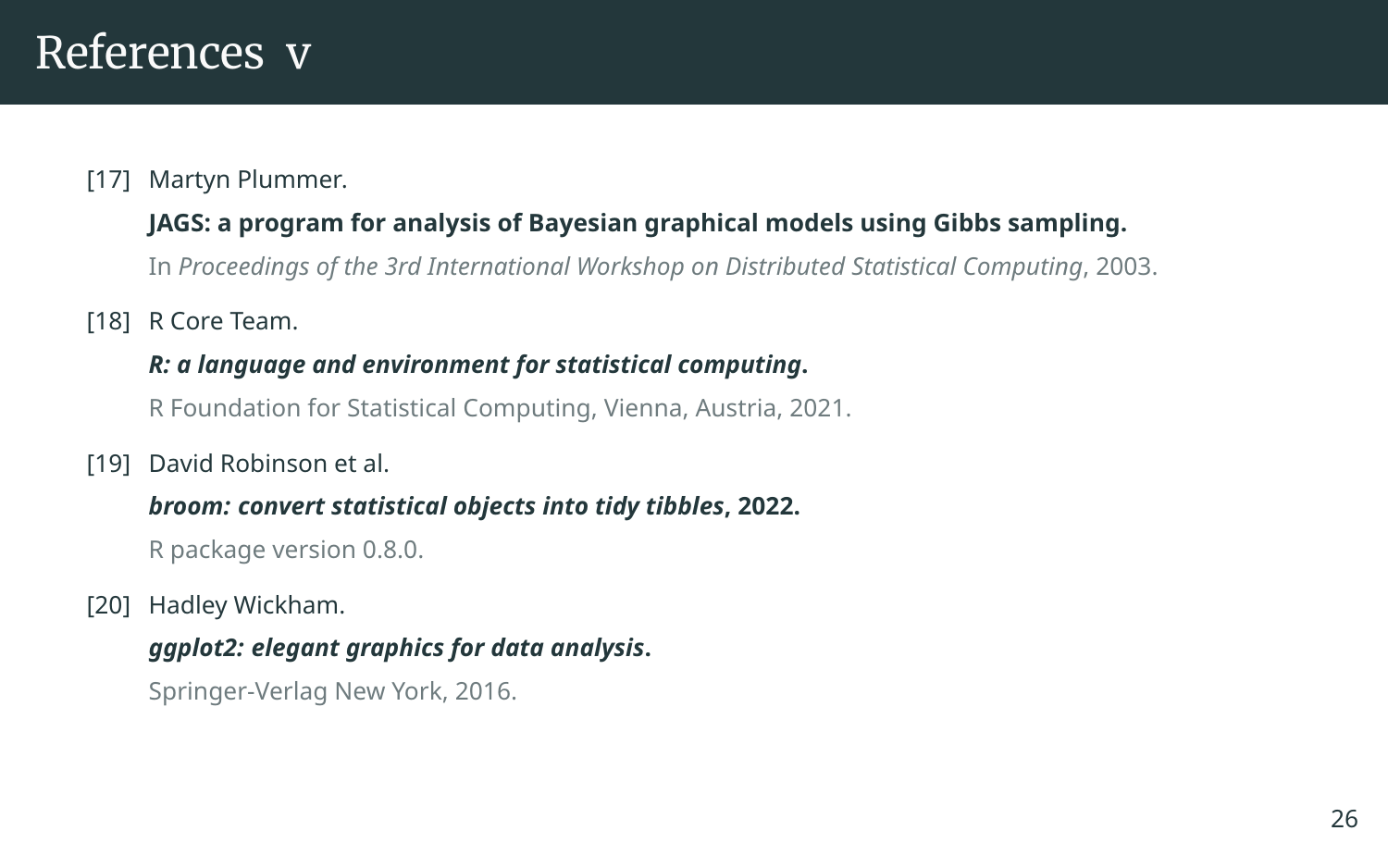### References v

#### <span id="page-33-0"></span>[17] Martyn Plummer.

#### **JAGS: a program for analysis of Bayesian graphical models using Gibbs sampling.**

In *Proceedings of the 3rd International Workshop on Distributed Statistical Computing*, 2003.

<span id="page-33-3"></span>[18] R Core Team.

#### *R: a language and environment for statistical computing***.**

R Foundation for Statistical Computing, Vienna, Austria, 2021.

<span id="page-33-1"></span>[19] David Robinson et al.

#### *broom: convert statistical objects into tidy tibbles***, 2022.**

R package version 0.8.0.

<span id="page-33-2"></span>[20] Hadley Wickham.

#### *ggplot2: elegant graphics for data analysis***.**

Springer-Verlag New York, 2016.